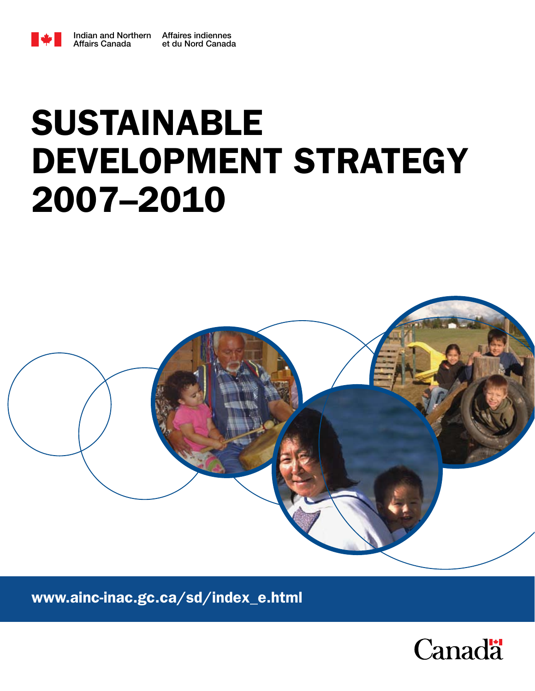

## $\boldsymbol{\triangledown}$  initial Affairs Canada Indian and Northern Affairs Canada Affaires indiennes DEVELOPMENT STRATEGY SUSTAINABLE 2007–2010



www.ainc-inac.gc.ca/sd/index\_e.html

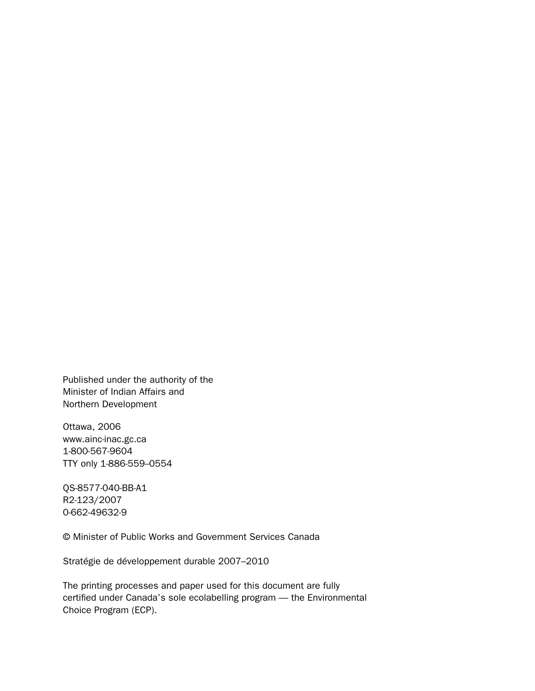Published under the authority of the Minister of Indian Affairs and Northern Development

Ottawa, 2006 www.ainc-inac.gc.ca 1-800-567-9604 TTY only 1-886-559-0554

QS-8577-040-BB-A1 R2-123/2007 0-662-49632-9

© Minister of Public Works and Government Services Canada

Stratégie de développement durable 2007–2010

The printing processes and paper used for this document are fully certified under Canada's sole ecolabelling program — the Environmental Choice Program (ECP).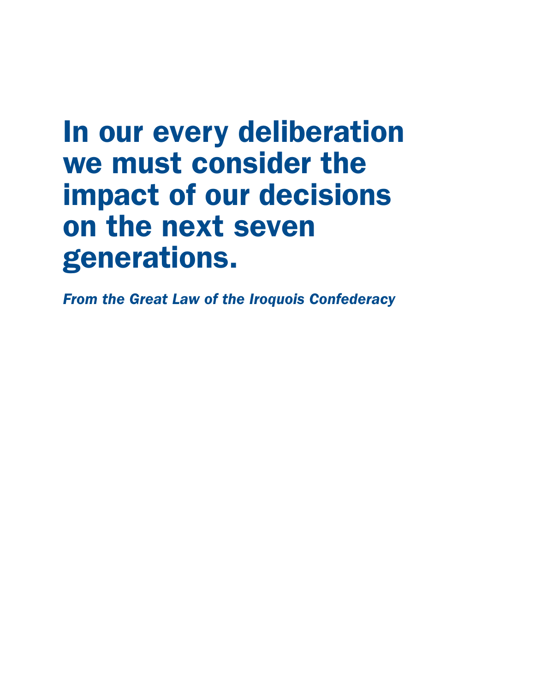# In our every deliberation we must consider the impact of our decisions on the next seven generations.

*From the Great Law of the Iroquois Confederacy*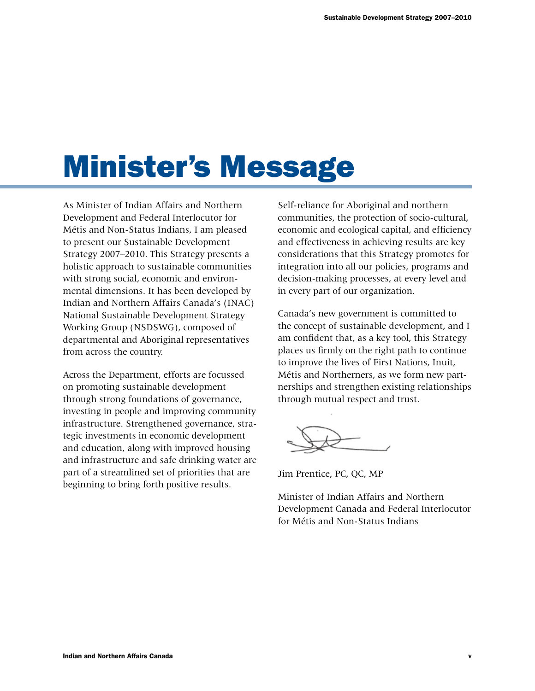# Minister's Message

As Minister of Indian Affairs and Northern Development and Federal Interlocutor for Métis and Non-Status Indians, I am pleased to present our Sustainable Development Strategy 2007–2010. This Strategy presents a holistic approach to sustainable communities with strong social, economic and environmental dimensions. It has been developed by Indian and Northern Affairs Canada's (INAC) National Sustainable Development Strategy Working Group (NSDSWG), composed of departmental and Aboriginal representatives from across the country.

Across the Department, efforts are focussed on promoting sustainable development through strong foundations of governance, investing in people and improving community infrastructure. Strengthened governance, strategic investments in economic development and education, along with improved housing and infrastructure and safe drinking water are part of a streamlined set of priorities that are beginning to bring forth positive results.

Self-reliance for Aboriginal and northern communities, the protection of socio-cultural, economic and ecological capital, and efficiency and effectiveness in achieving results are key considerations that this Strategy promotes for integration into all our policies, programs and decision-making processes, at every level and in every part of our organization.

Canada's new government is committed to the concept of sustainable development, and I am confident that, as a key tool, this Strategy places us firmly on the right path to continue to improve the lives of First Nations, Inuit, Métis and Northerners, as we form new partnerships and strengthen existing relationships through mutual respect and trust.

Jim Prentice, PC, QC, MP

Minister of Indian Affairs and Northern Development Canada and Federal Interlocutor for Métis and Non-Status Indians

 $\mathbf{v}$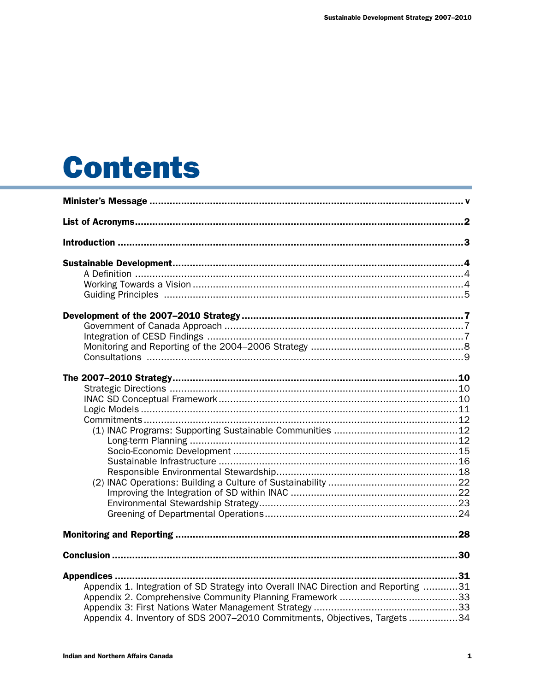# **Contents**

| Appendix 1. Integration of SD Strategy into Overall INAC Direction and Reporting 31 |  |
|-------------------------------------------------------------------------------------|--|
|                                                                                     |  |
| Appendix 4. Inventory of SDS 2007-2010 Commitments, Objectives, Targets34           |  |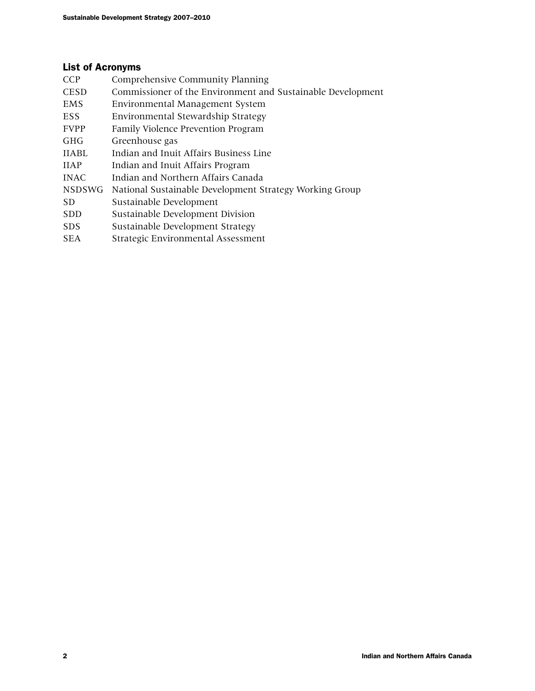## List of Acronyms

| <b>Comprehensive Community Planning</b>                     |
|-------------------------------------------------------------|
| Commissioner of the Environment and Sustainable Development |
| Environmental Management System                             |
| Environmental Stewardship Strategy                          |
| Family Violence Prevention Program                          |
| Greenhouse gas                                              |
| Indian and Inuit Affairs Business Line                      |
| Indian and Inuit Affairs Program                            |
| Indian and Northern Affairs Canada                          |
| National Sustainable Development Strategy Working Group     |
| Sustainable Development                                     |
| Sustainable Development Division                            |
| Sustainable Development Strategy                            |
| Strategic Environmental Assessment                          |
|                                                             |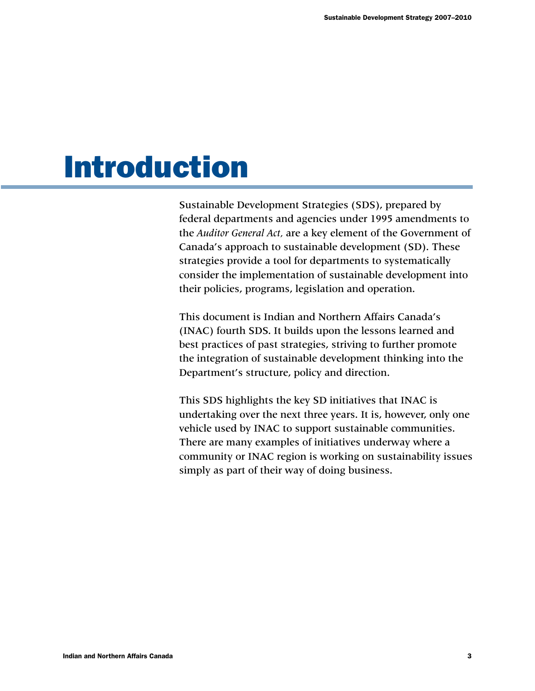# Introduction

Sustainable Development Strategies (SDS), prepared by federal departments and agencies under 1995 amendments to the *Auditor General Act,* are a key element of the Government of Canada's approach to sustainable development (SD). These strategies provide a tool for departments to systematically consider the implementation of sustainable development into their policies, programs, legislation and operation.

This document is Indian and Northern Affairs Canada's (INAC) fourth SDS. It builds upon the lessons learned and best practices of past strategies, striving to further promote the integration of sustainable development thinking into the Department's structure, policy and direction.

This SDS highlights the key SD initiatives that INAC is undertaking over the next three years. It is, however, only one vehicle used by INAC to support sustainable communities. There are many examples of initiatives underway where a community or INAC region is working on sustainability issues simply as part of their way of doing business.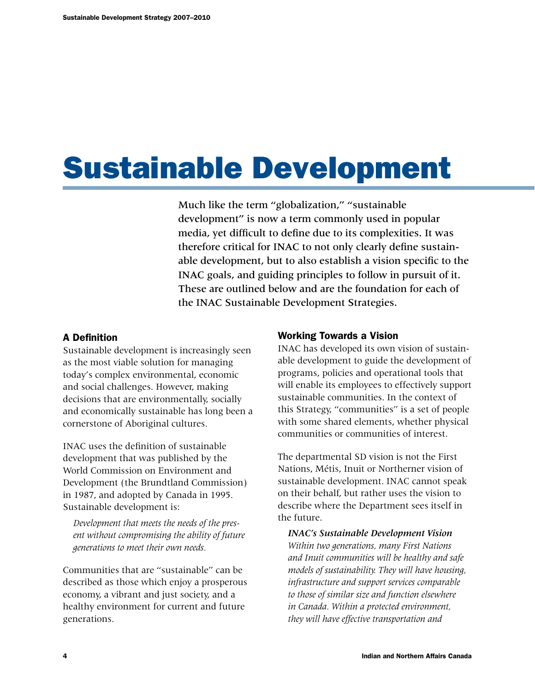# Sustainable Development

Much like the term "globalization," "sustainable development" is now a term commonly used in popular media, yet difficult to define due to its complexities. It was therefore critical for INAC to not only clearly define sustainable development, but to also establish a vision specific to the INAC goals, and guiding principles to follow in pursuit of it. These are outlined below and are the foundation for each of the INAC Sustainable Development Strategies.

## A Definition

Sustainable development is increasingly seen as the most viable solution for managing today's complex environmental, economic and social challenges. However, making decisions that are environmentally, socially and economically sustainable has long been a cornerstone of Aboriginal cultures.

INAC uses the definition of sustainable development that was published by the World Commission on Environment and Development (the Brundtland Commission) in 1987, and adopted by Canada in 1995. Sustainable development is:

*Development that meets the needs of the present without compromising the ability of future generations to meet their own needs.*

Communities that are "sustainable" can be described as those which enjoy a prosperous economy, a vibrant and just society, and a healthy environment for current and future generations.

## Working Towards a Vision

INAC has developed its own vision of sustainable development to guide the development of programs, policies and operational tools that will enable its employees to effectively support sustainable communities. In the context of this Strategy, "communities" is a set of people with some shared elements, whether physical communities or communities of interest.

The departmental SD vision is not the First Nations, Métis, Inuit or Northerner vision of sustainable development. INAC cannot speak on their behalf, but rather uses the vision to describe where the Department sees itself in the future.

*INAC's Sustainable Development Vision Within two generations, many First Nations and Inuit communities will be healthy and safe models of sustainability. They will have housing, infrastructure and support services comparable to those of similar size and function elsewhere in Canada. Within a protected environment, they will have effective transportation and*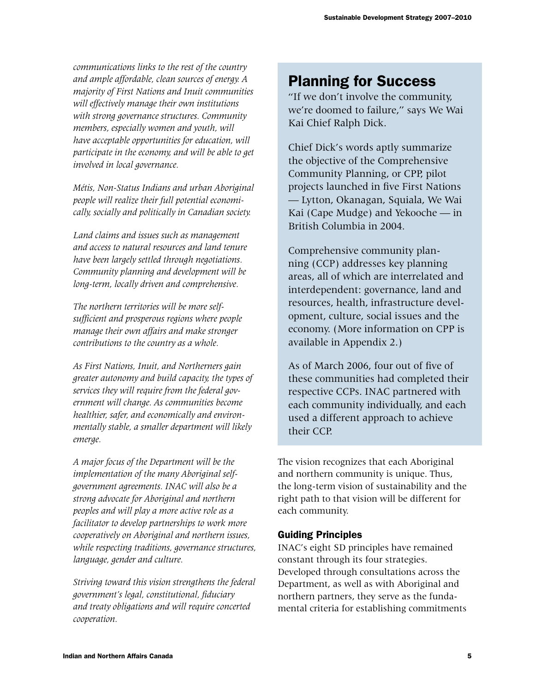*communications links to the rest of the country and ample affordable, clean sources of energy. A majority of First Nations and Inuit communities will effectively manage their own institutions with strong governance structures. Community members, especially women and youth, will have acceptable opportunities for education, will participate in the economy, and will be able to get involved in local governance.* 

*Métis, Non-Status Indians and urban Aboriginal people will realize their full potential economically, socially and politically in Canadian society.*

*Land claims and issues such as management and access to natural resources and land tenure have been largely settled through negotiations. Community planning and development will be long-term, locally driven and comprehensive.* 

*The northern territories will be more selfsufficient and prosperous regions where people manage their own affairs and make stronger contributions to the country as a whole.*

*As First Nations, Inuit, and Northerners gain greater autonomy and build capacity, the types of services they will require from the federal government will change. As communities become healthier, safer, and economically and environmentally stable, a smaller department will likely emerge.*

*A major focus of the Department will be the implementation of the many Aboriginal selfgovernment agreements. INAC will also be a strong advocate for Aboriginal and northern peoples and will play a more active role as a facilitator to develop partnerships to work more cooperatively on Aboriginal and northern issues, while respecting traditions, governance structures, language, gender and culture.*

*Striving toward this vision strengthens the federal government's legal, constitutional, fiduciary and treaty obligations and will require concerted cooperation.*

## Planning for Success

"If we don't involve the community, we're doomed to failure," says We Wai Kai Chief Ralph Dick.

Chief Dick's words aptly summarize the objective of the Comprehensive Community Planning, or CPP, pilot projects launched in five First Nations — Lytton, Okanagan, Squiala, We Wai Kai (Cape Mudge) and Yekooche — in British Columbia in 2004.

Comprehensive community planning (CCP) addresses key planning areas, all of which are interrelated and interdependent: governance, land and resources, health, infrastructure development, culture, social issues and the economy. (More information on CPP is available in Appendix 2.)

As of March 2006, four out of five of these communities had completed their respective CCPs. INAC partnered with each community individually, and each used a different approach to achieve their CCP.

The vision recognizes that each Aboriginal and northern community is unique. Thus, the long-term vision of sustainability and the right path to that vision will be different for each community.

## Guiding Principles

INAC's eight SD principles have remained constant through its four strategies. Developed through consultations across the Department, as well as with Aboriginal and northern partners, they serve as the fundamental criteria for establishing commitments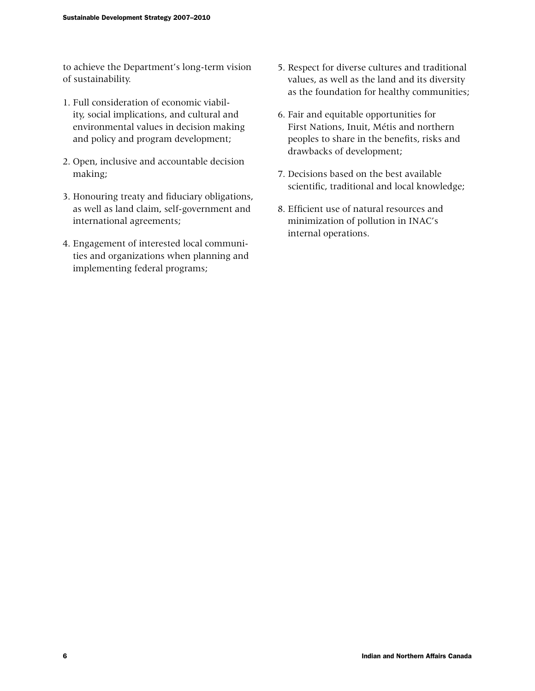to achieve the Department's long-term vision of sustainability.

- 1. Full consideration of economic viability, social implications, and cultural and environmental values in decision making and policy and program development;
- 2. Open, inclusive and accountable decision making;
- 3. Honouring treaty and fiduciary obligations, as well as land claim, self-government and international agreements;
- 4. Engagement of interested local communities and organizations when planning and implementing federal programs;
- 5. Respect for diverse cultures and traditional values, as well as the land and its diversity as the foundation for healthy communities;
- 6. Fair and equitable opportunities for First Nations, Inuit, Métis and northern peoples to share in the benefits, risks and drawbacks of development;
- 7. Decisions based on the best available scientific, traditional and local knowledge;
- 8. Efficient use of natural resources and minimization of pollution in INAC's internal operations.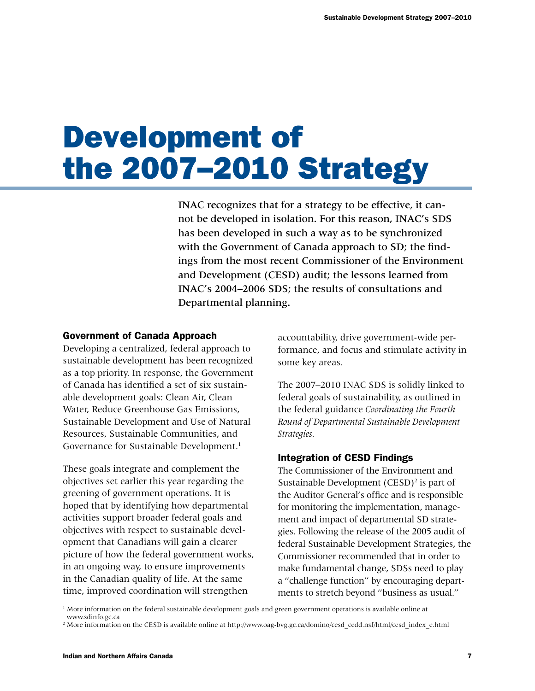# Development of the 2007–2010 Strategy

INAC recognizes that for a strategy to be effective, it cannot be developed in isolation. For this reason, INAC's SDS has been developed in such a way as to be synchronized with the Government of Canada approach to SD; the findings from the most recent Commissioner of the Environment and Development (CESD) audit; the lessons learned from INAC's 2004–2006 SDS; the results of consultations and Departmental planning.

#### Government of Canada Approach

Developing a centralized, federal approach to sustainable development has been recognized as a top priority. In response, the Government of Canada has identified a set of six sustainable development goals: Clean Air, Clean Water, Reduce Greenhouse Gas Emissions, Sustainable Development and Use of Natural Resources, Sustainable Communities, and Governance for Sustainable Development.<sup>1</sup>

These goals integrate and complement the objectives set earlier this year regarding the greening of government operations. It is hoped that by identifying how departmental activities support broader federal goals and objectives with respect to sustainable development that Canadians will gain a clearer picture of how the federal government works, in an ongoing way, to ensure improvements in the Canadian quality of life. At the same time, improved coordination will strengthen

accountability, drive government-wide performance, and focus and stimulate activity in some key areas.

The 2007–2010 INAC SDS is solidly linked to federal goals of sustainability, as outlined in the federal guidance *Coordinating the Fourth Round of Departmental Sustainable Development Strategies.*

#### Integration of CESD Findings

The Commissioner of the Environment and Sustainable Development (CESD)<sup>2</sup> is part of the Auditor General's office and is responsible for monitoring the implementation, management and impact of departmental SD strategies. Following the release of the 2005 audit of federal Sustainable Development Strategies, the Commissioner recommended that in order to make fundamental change, SDSs need to play a "challenge function" by encouraging departments to stretch beyond "business as usual."

<sup>1</sup> More information on the federal sustainable development goals and green government operations is available online at www.sdinfo.gc.ca

<sup>&</sup>lt;sup>2</sup> More information on the CESD is available online at http://www.oag-bvg.gc.ca/domino/cesd\_cedd.nsf/html/cesd\_index\_e.html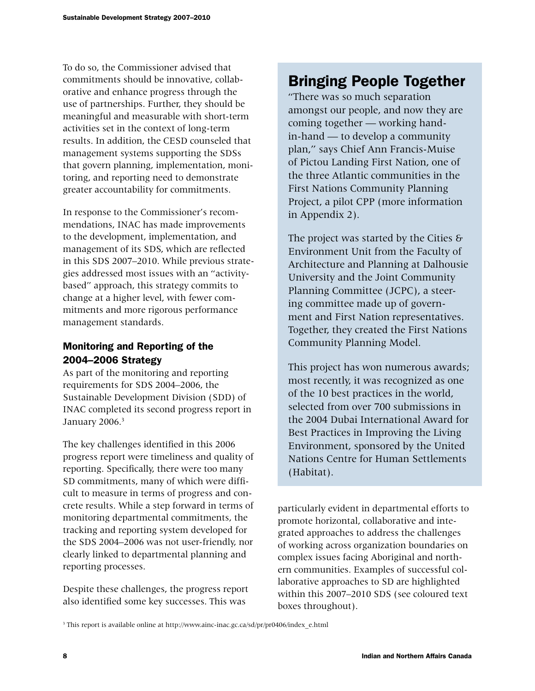To do so, the Commissioner advised that commitments should be innovative, collaborative and enhance progress through the use of partnerships. Further, they should be meaningful and measurable with short-term activities set in the context of long-term results. In addition, the CESD counseled that management systems supporting the SDSs that govern planning, implementation, monitoring, and reporting need to demonstrate greater accountability for commitments.

In response to the Commissioner's recommendations, INAC has made improvements to the development, implementation, and management of its SDS, which are reflected in this SDS 2007–2010. While previous strategies addressed most issues with an "activitybased" approach, this strategy commits to change at a higher level, with fewer commitments and more rigorous performance management standards.

## Monitoring and Reporting of the 2004–2006 Strategy

As part of the monitoring and reporting requirements for SDS 2004–2006, the Sustainable Development Division (SDD) of INAC completed its second progress report in January 2006.<sup>3</sup>

The key challenges identified in this 2006 progress report were timeliness and quality of reporting. Specifically, there were too many SD commitments, many of which were difficult to measure in terms of progress and concrete results. While a step forward in terms of monitoring departmental commitments, the tracking and reporting system developed for the SDS 2004–2006 was not user-friendly, nor clearly linked to departmental planning and reporting processes.

Despite these challenges, the progress report also identified some key successes. This was

## Bringing People Together

"There was so much separation amongst our people, and now they are coming together — working handin-hand — to develop a community plan," says Chief Ann Francis-Muise of Pictou Landing First Nation, one of the three Atlantic communities in the First Nations Community Planning Project, a pilot CPP (more information in Appendix 2).

The project was started by the Cities  $\delta$ Environment Unit from the Faculty of Architecture and Planning at Dalhousie University and the Joint Community Planning Committee (JCPC), a steering committee made up of government and First Nation representatives. Together, they created the First Nations Community Planning Model.

This project has won numerous awards; most recently, it was recognized as one of the 10 best practices in the world, selected from over 700 submissions in the 2004 Dubai International Award for Best Practices in Improving the Living Environment, sponsored by the United Nations Centre for Human Settlements (Habitat).

particularly evident in departmental efforts to promote horizontal, collaborative and integrated approaches to address the challenges of working across organization boundaries on complex issues facing Aboriginal and northern communities. Examples of successful collaborative approaches to SD are highlighted within this 2007–2010 SDS (see coloured text boxes throughout).

<sup>3</sup> This report is available online at http://www.ainc-inac.gc.ca/sd/pr/pr0406/index e.html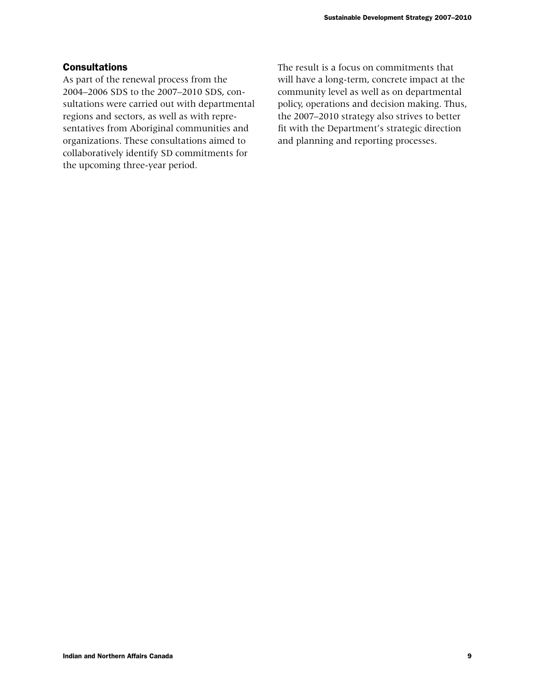## **Consultations**

As part of the renewal process from the 2004–2006 SDS to the 2007–2010 SDS, consultations were carried out with departmental regions and sectors, as well as with representatives from Aboriginal communities and organizations. These consultations aimed to collaboratively identify SD commitments for the upcoming three-year period.

The result is a focus on commitments that will have a long-term, concrete impact at the community level as well as on departmental policy, operations and decision making. Thus, the 2007–2010 strategy also strives to better fit with the Department's strategic direction and planning and reporting processes.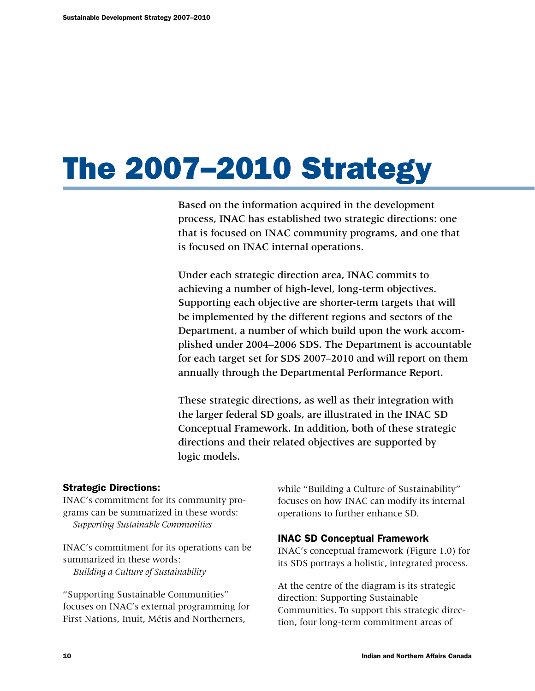# The 2007–2010 Strategy

Based on the information acquired in the development process, INAC has established two strategic directions: one that is focused on INAC community programs, and one that is focused on INAC internal operations.

Under each strategic direction area, INAC commits to achieving a number of high-level, long-term objectives. Supporting each objective are shorter-term targets that will be implemented by the different regions and sectors of the Department, a number of which build upon the work accomplished under 2004–2006 SDS. The Department is accountable for each target set for SDS 2007–2010 and will report on them annually through the Departmental Performance Report.

These strategic directions, as well as their integration with the larger federal SD goals, are illustrated in the INAC SD Conceptual Framework. In addition, both of these strategic directions and their related objectives are supported by logic models.

## Strategic Directions:

INAC's commitment for its community programs can be summarized in these words: *Supporting Sustainable Communities*

INAC's commitment for its operations can be summarized in these words: *Building a Culture of Sustainability*

"Supporting Sustainable Communities" focuses on INAC's external programming for First Nations, Inuit, Métis and Northerners,

while "Building a Culture of Sustainability" focuses on how INAC can modify its internal operations to further enhance SD.

## INAC SD Conceptual Framework

INAC's conceptual framework (Figure 1.0) for its SDS portrays a holistic, integrated process.

At the centre of the diagram is its strategic direction: Supporting Sustainable Communities. To support this strategic direction, four long-term commitment areas of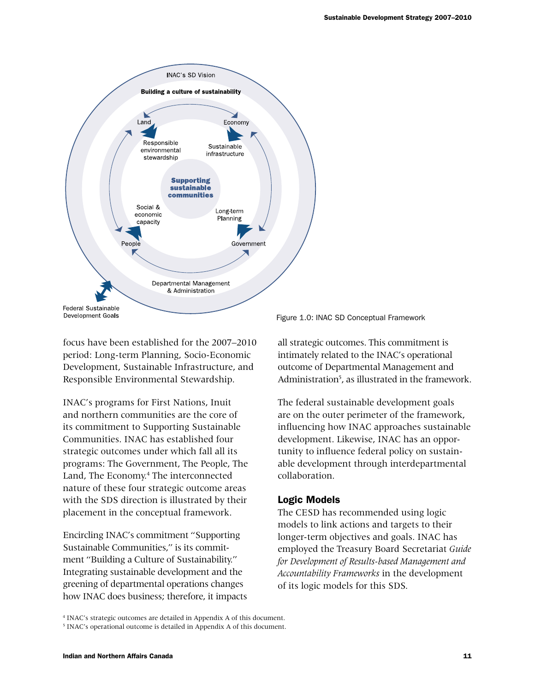

focus have been established for the 2007–2010 period: Long-term Planning, Socio-Economic Development, Sustainable Infrastructure, and Responsible Environmental Stewardship.

INAC's programs for First Nations, Inuit and northern communities are the core of its commitment to Supporting Sustainable Communities. INAC has established four strategic outcomes under which fall all its programs: The Government, The People, The Land, The Economy.<sup>4</sup> The interconnected nature of these four strategic outcome areas with the SDS direction is illustrated by their placement in the conceptual framework.

Encircling INAC's commitment "Supporting Sustainable Communities," is its commitment "Building a Culture of Sustainability." Integrating sustainable development and the greening of departmental operations changes how INAC does business; therefore, it impacts

Figure 1.0: INAC SD Conceptual Framework

all strategic outcomes. This commitment is intimately related to the INAC's operational outcome of Departmental Management and Administration<sup>5</sup>, as illustrated in the framework.

The federal sustainable development goals are on the outer perimeter of the framework, influencing how INAC approaches sustainable development. Likewise, INAC has an opportunity to influence federal policy on sustainable development through interdepartmental collaboration.

#### Logic Models

The CESD has recommended using logic models to link actions and targets to their longer-term objectives and goals. INAC has employed the Treasury Board Secretariat *Guide for Development of Results-based Management and Accountability Frameworks* in the development of its logic models for this SDS.

4 INAC's strategic outcomes are detailed in Appendix A of this document.

<sup>&</sup>lt;sup>5</sup> INAC's operational outcome is detailed in Appendix A of this document.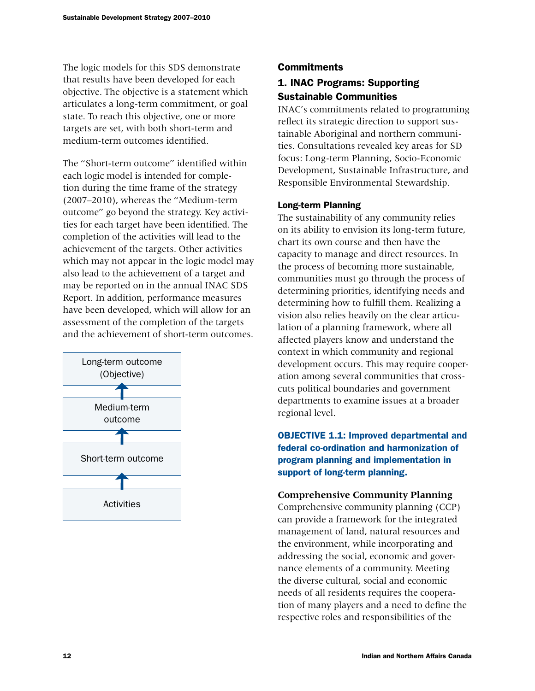The logic models for this SDS demonstrate that results have been developed for each objective. The objective is a statement which articulates a long-term commitment, or goal state. To reach this objective, one or more targets are set, with both short-term and medium-term outcomes identified.

The "Short-term outcome" identified within each logic model is intended for completion during the time frame of the strategy (2007–2010), whereas the "Medium-term outcome" go beyond the strategy. Key activities for each target have been identified. The completion of the activities will lead to the achievement of the targets. Other activities which may not appear in the logic model may also lead to the achievement of a target and may be reported on in the annual INAC SDS Report. In addition, performance measures have been developed, which will allow for an assessment of the completion of the targets and the achievement of short-term outcomes.



## **Commitments**

## 1. INAC Programs: Supporting Sustainable Communities

INAC's commitments related to programming reflect its strategic direction to support sustainable Aboriginal and northern communities. Consultations revealed key areas for SD focus: Long-term Planning, Socio-Economic Development, Sustainable Infrastructure, and Responsible Environmental Stewardship.

## Long-term Planning

The sustainability of any community relies on its ability to envision its long-term future, chart its own course and then have the capacity to manage and direct resources. In the process of becoming more sustainable, communities must go through the process of determining priorities, identifying needs and determining how to fulfill them. Realizing a vision also relies heavily on the clear articulation of a planning framework, where all affected players know and understand the context in which community and regional development occurs. This may require cooperation among several communities that crosscuts political boundaries and government departments to examine issues at a broader regional level.

**OBJECTIVE 1.1: Improved departmental and** federal co-ordination and harmonization of program planning and implementation in support of long-term planning.

## **Comprehensive Community Planning**

Comprehensive community planning (CCP) can provide a framework for the integrated management of land, natural resources and the environment, while incorporating and addressing the social, economic and governance elements of a community. Meeting the diverse cultural, social and economic needs of all residents requires the cooperation of many players and a need to define the respective roles and responsibilities of the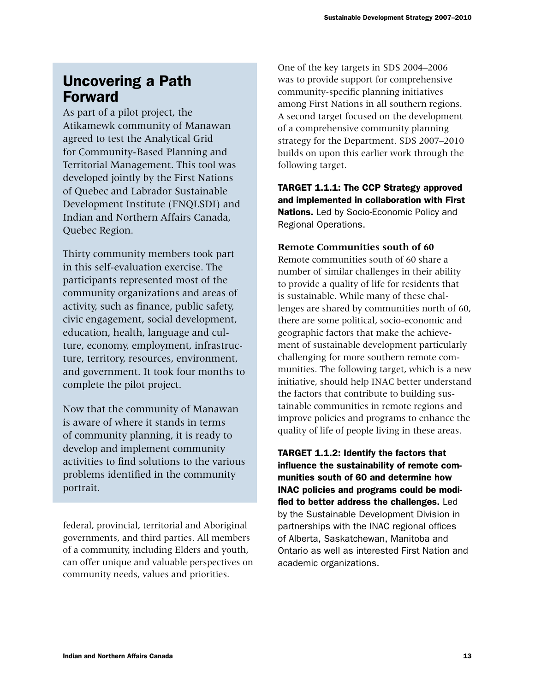## Uncovering a Path Forward

As part of a pilot project, the Atikamewk community of Manawan agreed to test the Analytical Grid for Community-Based Planning and Territorial Management. This tool was developed jointly by the First Nations of Quebec and Labrador Sustainable Development Institute (FNQLSDI) and Indian and Northern Affairs Canada, Quebec Region.

Thirty community members took part in this self-evaluation exercise. The participants represented most of the community organizations and areas of activity, such as finance, public safety, civic engagement, social development, education, health, language and culture, economy, employment, infrastructure, territory, resources, environment, and government. It took four months to complete the pilot project.

Now that the community of Manawan is aware of where it stands in terms of community planning, it is ready to develop and implement community activities to find solutions to the various problems identified in the community portrait.

federal, provincial, territorial and Aboriginal governments, and third parties. All members of a community, including Elders and youth, can offer unique and valuable perspectives on community needs, values and priorities.

One of the key targets in SDS 2004–2006 was to provide support for comprehensive community-specific planning initiatives among First Nations in all southern regions. A second target focused on the development of a comprehensive community planning strategy for the Department. SDS 2007–2010 builds on upon this earlier work through the following target.

TARGET 1.1.1: The CCP Strategy approved and implemented in collaboration with First Nations. Led by Socio-Economic Policy and Regional Operations.

## **Remote Communities south of 60**

Remote communities south of 60 share a number of similar challenges in their ability to provide a quality of life for residents that is sustainable. While many of these challenges are shared by communities north of 60, there are some political, socio-economic and geographic factors that make the achievement of sustainable development particularly challenging for more southern remote communities. The following target, which is a new initiative, should help INAC better understand the factors that contribute to building sustainable communities in remote regions and improve policies and programs to enhance the quality of life of people living in these areas.

TARGET 1.1.2: Identify the factors that influence the sustainability of remote communities south of 60 and determine how INAC policies and programs could be modified to better address the challenges. Led by the Sustainable Development Division in partnerships with the INAC regional offices of Alberta, Saskatchewan, Manitoba and Ontario as well as interested First Nation and academic organizations.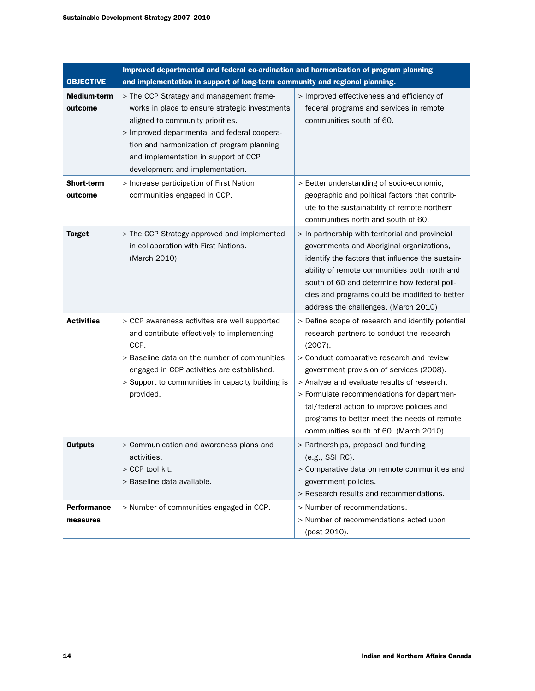|                                | Improved departmental and federal co-ordination and harmonization of program planning                                                                                                                                                                                                                   |                                                                                                                                                                                                                                                                                                                                                                                                                                       |  |  |  |  |
|--------------------------------|---------------------------------------------------------------------------------------------------------------------------------------------------------------------------------------------------------------------------------------------------------------------------------------------------------|---------------------------------------------------------------------------------------------------------------------------------------------------------------------------------------------------------------------------------------------------------------------------------------------------------------------------------------------------------------------------------------------------------------------------------------|--|--|--|--|
| <b>OBJECTIVE</b>               | and implementation in support of long-term community and regional planning.                                                                                                                                                                                                                             |                                                                                                                                                                                                                                                                                                                                                                                                                                       |  |  |  |  |
| <b>Medium-term</b><br>outcome  | > The CCP Strategy and management frame-<br>works in place to ensure strategic investments<br>aligned to community priorities.<br>> Improved departmental and federal coopera-<br>tion and harmonization of program planning<br>and implementation in support of CCP<br>development and implementation. | > Improved effectiveness and efficiency of<br>federal programs and services in remote<br>communities south of 60.                                                                                                                                                                                                                                                                                                                     |  |  |  |  |
| <b>Short-term</b><br>outcome   | > Increase participation of First Nation<br>communities engaged in CCP.                                                                                                                                                                                                                                 | > Better understanding of socio-economic,<br>geographic and political factors that contrib-<br>ute to the sustainability of remote northern<br>communities north and south of 60.                                                                                                                                                                                                                                                     |  |  |  |  |
| <b>Target</b>                  | > The CCP Strategy approved and implemented<br>in collaboration with First Nations.<br>(March 2010)                                                                                                                                                                                                     | > In partnership with territorial and provincial<br>governments and Aboriginal organizations,<br>identify the factors that influence the sustain-<br>ability of remote communities both north and<br>south of 60 and determine how federal poli-<br>cies and programs could be modified to better<br>address the challenges. (March 2010)                                                                                             |  |  |  |  |
| <b>Activities</b>              | > CCP awareness activites are well supported<br>and contribute effectively to implementing<br>CCP.<br>> Baseline data on the number of communities<br>engaged in CCP activities are established.<br>> Support to communities in capacity building is<br>provided.                                       | > Define scope of research and identify potential<br>research partners to conduct the research<br>(2007).<br>> Conduct comparative research and review<br>government provision of services (2008).<br>> Analyse and evaluate results of research.<br>> Formulate recommendations for departmen-<br>tal/federal action to improve policies and<br>programs to better meet the needs of remote<br>communities south of 60. (March 2010) |  |  |  |  |
| <b>Outputs</b>                 | > Communication and awareness plans and<br>activities.<br>> CCP tool kit.<br>> Baseline data available.                                                                                                                                                                                                 | > Partnerships, proposal and funding<br>(e.g., SSHRC).<br>> Comparative data on remote communities and<br>government policies.<br>> Research results and recommendations.                                                                                                                                                                                                                                                             |  |  |  |  |
| <b>Performance</b><br>measures | > Number of communities engaged in CCP.                                                                                                                                                                                                                                                                 | > Number of recommendations.<br>> Number of recommendations acted upon<br>(post 2010).                                                                                                                                                                                                                                                                                                                                                |  |  |  |  |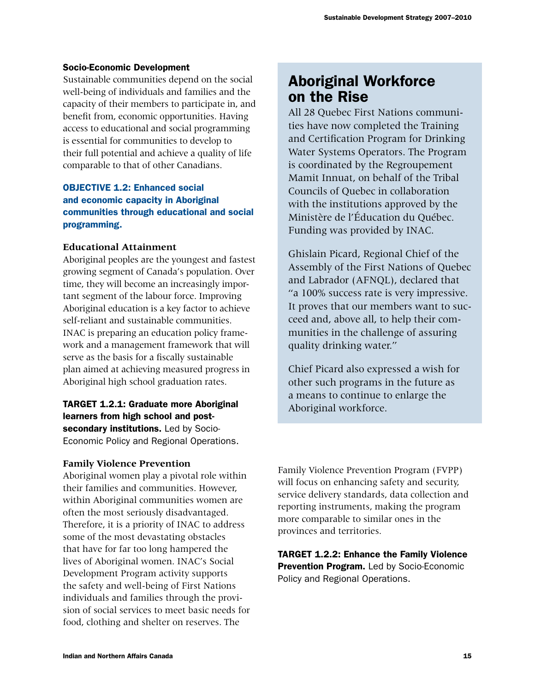#### Socio-Economic Development

Sustainable communities depend on the social well-being of individuals and families and the capacity of their members to participate in, and benefit from, economic opportunities. Having access to educational and social programming is essential for communities to develop to their full potential and achieve a quality of life comparable to that of other Canadians.

## **OBJECTIVE 1.2: Enhanced social** and economic capacity in Aboriginal communities through educational and social programming.

## **Educational Attainment**

Aboriginal peoples are the youngest and fastest growing segment of Canada's population. Over time, they will become an increasingly important segment of the labour force. Improving Aboriginal education is a key factor to achieve self-reliant and sustainable communities. INAC is preparing an education policy framework and a management framework that will serve as the basis for a fiscally sustainable plan aimed at achieving measured progress in Aboriginal high school graduation rates.

## TARGET 1.2.1: Graduate more Aboriginal learners from high school and postsecondary institutions. Led by Socio-Economic Policy and Regional Operations.

## **Family Violence Prevention**

Aboriginal women play a pivotal role within their families and communities. However, within Aboriginal communities women are often the most seriously disadvantaged. Therefore, it is a priority of INAC to address some of the most devastating obstacles that have for far too long hampered the lives of Aboriginal women. INAC's Social Development Program activity supports the safety and well-being of First Nations individuals and families through the provision of social services to meet basic needs for food, clothing and shelter on reserves. The

## Aboriginal Workforce on the Rise

All 28 Quebec First Nations communities have now completed the Training and Certification Program for Drinking Water Systems Operators. The Program is coordinated by the Regroupement Mamit Innuat, on behalf of the Tribal Councils of Quebec in collaboration with the institutions approved by the Ministère de l'Éducation du Québec. Funding was provided by INAC.

Ghislain Picard, Regional Chief of the Assembly of the First Nations of Quebec and Labrador (AFNQL), declared that "a 100% success rate is very impressive. It proves that our members want to succeed and, above all, to help their communities in the challenge of assuring quality drinking water."

Chief Picard also expressed a wish for other such programs in the future as a means to continue to enlarge the Aboriginal workforce.

Family Violence Prevention Program (FVPP) will focus on enhancing safety and security, service delivery standards, data collection and reporting instruments, making the program more comparable to similar ones in the provinces and territories.

TARGET 1.2.2: Enhance the Family Violence Prevention Program. Led by Socio-Economic Policy and Regional Operations.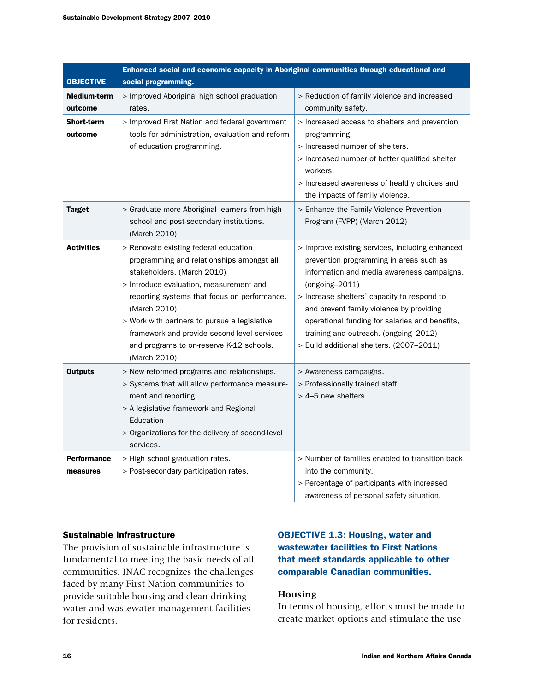| <b>OBJECTIVE</b>               | Enhanced social and economic capacity in Aboriginal communities through educational and<br>social programming.                                                                                                                                                                                                                                                                         |                                                                                                                                                                                                                                                                                                                                                                                                |  |  |  |
|--------------------------------|----------------------------------------------------------------------------------------------------------------------------------------------------------------------------------------------------------------------------------------------------------------------------------------------------------------------------------------------------------------------------------------|------------------------------------------------------------------------------------------------------------------------------------------------------------------------------------------------------------------------------------------------------------------------------------------------------------------------------------------------------------------------------------------------|--|--|--|
| Medium-term<br>outcome         | > Improved Aboriginal high school graduation<br>rates.                                                                                                                                                                                                                                                                                                                                 | > Reduction of family violence and increased<br>community safety.                                                                                                                                                                                                                                                                                                                              |  |  |  |
| <b>Short-term</b><br>outcome   | > Improved First Nation and federal government<br>tools for administration, evaluation and reform<br>of education programming.                                                                                                                                                                                                                                                         | > Increased access to shelters and prevention<br>programming.<br>> Increased number of shelters.<br>> Increased number of better qualified shelter<br>workers.<br>> Increased awareness of healthy choices and<br>the impacts of family violence.                                                                                                                                              |  |  |  |
| <b>Target</b>                  | > Graduate more Aboriginal learners from high<br>school and post-secondary institutions.<br>(March 2010)                                                                                                                                                                                                                                                                               | > Enhance the Family Violence Prevention<br>Program (FVPP) (March 2012)                                                                                                                                                                                                                                                                                                                        |  |  |  |
| <b>Activities</b>              | > Renovate existing federal education<br>programming and relationships amongst all<br>stakeholders. (March 2010)<br>> Introduce evaluation, measurement and<br>reporting systems that focus on performance.<br>(March 2010)<br>> Work with partners to pursue a legislative<br>framework and provide second-level services<br>and programs to on-reserve K-12 schools.<br>(March 2010) | > Improve existing services, including enhanced<br>prevention programming in areas such as<br>information and media awareness campaigns.<br>$(ongoing-2011)$<br>> Increase shelters' capacity to respond to<br>and prevent family violence by providing<br>operational funding for salaries and benefits,<br>training and outreach. (ongoing-2012)<br>> Build additional shelters. (2007-2011) |  |  |  |
| <b>Outputs</b>                 | > New reformed programs and relationships.<br>> Systems that will allow performance measure-<br>ment and reporting.<br>> A legislative framework and Regional<br>Education<br>> Organizations for the delivery of second-level<br>services.                                                                                                                                            | > Awareness campaigns.<br>> Professionally trained staff.<br>> 4-5 new shelters.                                                                                                                                                                                                                                                                                                               |  |  |  |
| <b>Performance</b><br>measures | > High school graduation rates.<br>> Post-secondary participation rates.                                                                                                                                                                                                                                                                                                               | > Number of families enabled to transition back<br>into the community.<br>> Percentage of participants with increased<br>awareness of personal safety situation.                                                                                                                                                                                                                               |  |  |  |

#### Sustainable Infrastructure

The provision of sustainable infrastructure is fundamental to meeting the basic needs of all communities. INAC recognizes the challenges faced by many First Nation communities to provide suitable housing and clean drinking water and wastewater management facilities for residents.

## OBJECTIVE 1.3: Housing, water and wastewater facilities to First Nations that meet standards applicable to other comparable Canadian communities.

#### **Housing**

In terms of housing, efforts must be made to create market options and stimulate the use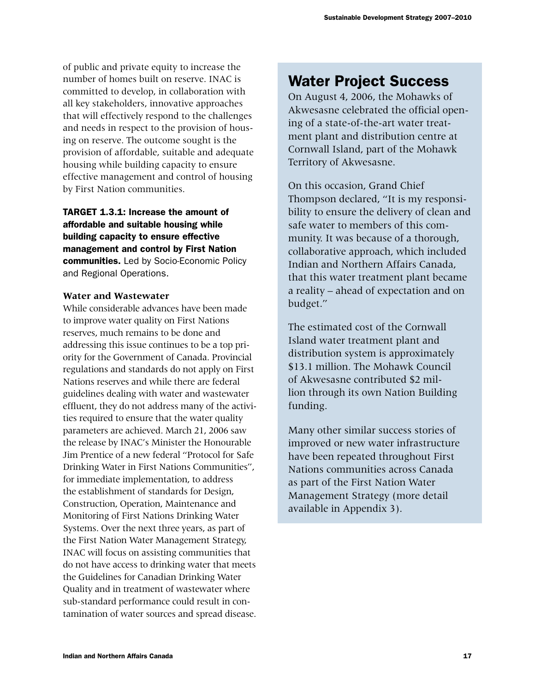of public and private equity to increase the number of homes built on reserve. INAC is committed to develop, in collaboration with all key stakeholders, innovative approaches that will effectively respond to the challenges and needs in respect to the provision of housing on reserve. The outcome sought is the provision of affordable, suitable and adequate housing while building capacity to ensure effective management and control of housing by First Nation communities.

TARGET 1.3.1: Increase the amount of affordable and suitable housing while building capacity to ensure effective management and control by First Nation communities. Led by Socio-Economic Policy and Regional Operations.

### **Water and Wastewater**

While considerable advances have been made to improve water quality on First Nations reserves, much remains to be done and addressing this issue continues to be a top priority for the Government of Canada. Provincial regulations and standards do not apply on First Nations reserves and while there are federal guidelines dealing with water and wastewater effluent, they do not address many of the activities required to ensure that the water quality parameters are achieved. March 21, 2006 saw the release by INAC's Minister the Honourable Jim Prentice of a new federal "Protocol for Safe Drinking Water in First Nations Communities", for immediate implementation, to address the establishment of standards for Design, Construction, Operation, Maintenance and Monitoring of First Nations Drinking Water Systems. Over the next three years, as part of the First Nation Water Management Strategy, INAC will focus on assisting communities that do not have access to drinking water that meets the Guidelines for Canadian Drinking Water Quality and in treatment of wastewater where sub-standard performance could result in contamination of water sources and spread disease.

## Water Project Success

On August 4, 2006, the Mohawks of Akwesasne celebrated the official opening of a state-of-the-art water treatment plant and distribution centre at Cornwall Island, part of the Mohawk Territory of Akwesasne.

On this occasion, Grand Chief Thompson declared, "It is my responsibility to ensure the delivery of clean and safe water to members of this community. It was because of a thorough, collaborative approach, which included Indian and Northern Affairs Canada, that this water treatment plant became a reality – ahead of expectation and on budget."

The estimated cost of the Cornwall Island water treatment plant and distribution system is approximately \$13.1 million. The Mohawk Council of Akwesasne contributed \$2 million through its own Nation Building funding.

Many other similar success stories of improved or new water infrastructure have been repeated throughout First Nations communities across Canada as part of the First Nation Water Management Strategy (more detail available in Appendix 3).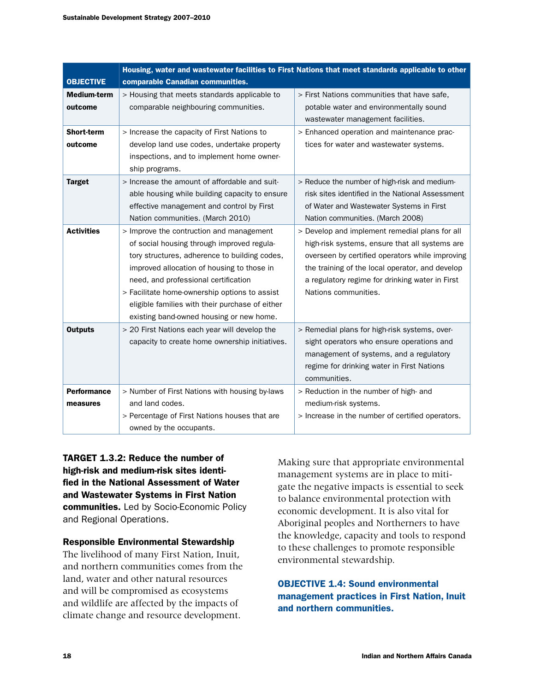|                                | Housing, water and wastewater facilities to First Nations that meet standards applicable to other                                                                                                                                                                                                                                                                             |                                                                                                                                                                                                                                                                                   |  |  |  |  |
|--------------------------------|-------------------------------------------------------------------------------------------------------------------------------------------------------------------------------------------------------------------------------------------------------------------------------------------------------------------------------------------------------------------------------|-----------------------------------------------------------------------------------------------------------------------------------------------------------------------------------------------------------------------------------------------------------------------------------|--|--|--|--|
| <b>OBJECTIVE</b>               | comparable Canadian communities.                                                                                                                                                                                                                                                                                                                                              |                                                                                                                                                                                                                                                                                   |  |  |  |  |
| <b>Medium-term</b><br>outcome  | > Housing that meets standards applicable to<br>comparable neighbouring communities.                                                                                                                                                                                                                                                                                          | > First Nations communities that have safe,<br>potable water and environmentally sound<br>wastewater management facilities.                                                                                                                                                       |  |  |  |  |
| <b>Short-term</b><br>outcome   | > Increase the capacity of First Nations to<br>develop land use codes, undertake property<br>inspections, and to implement home owner-<br>ship programs.                                                                                                                                                                                                                      | > Enhanced operation and maintenance prac-<br>tices for water and wastewater systems.                                                                                                                                                                                             |  |  |  |  |
| <b>Target</b>                  | > Increase the amount of affordable and suit-<br>able housing while building capacity to ensure<br>effective management and control by First<br>Nation communities. (March 2010)                                                                                                                                                                                              | > Reduce the number of high-risk and medium-<br>risk sites identified in the National Assessment<br>of Water and Wastewater Systems in First<br>Nation communities. (March 2008)                                                                                                  |  |  |  |  |
| <b>Activities</b>              | > Improve the contruction and management<br>of social housing through improved regula-<br>tory structures, adherence to building codes,<br>improved allocation of housing to those in<br>need, and professional certification<br>> Facilitate home-ownership options to assist<br>eligible families with their purchase of either<br>existing band-owned housing or new home. | > Develop and implement remedial plans for all<br>high-risk systems, ensure that all systems are<br>overseen by certified operators while improving<br>the training of the local operator, and develop<br>a regulatory regime for drinking water in First<br>Nations communities. |  |  |  |  |
| <b>Outputs</b>                 | > 20 First Nations each year will develop the<br>capacity to create home ownership initiatives.                                                                                                                                                                                                                                                                               | > Remedial plans for high-risk systems, over-<br>sight operators who ensure operations and<br>management of systems, and a regulatory<br>regime for drinking water in First Nations<br>communities.                                                                               |  |  |  |  |
| <b>Performance</b><br>measures | > Number of First Nations with housing by-laws<br>and land codes.<br>> Percentage of First Nations houses that are<br>owned by the occupants.                                                                                                                                                                                                                                 | > Reduction in the number of high- and<br>medium-risk systems.<br>> Increase in the number of certified operators.                                                                                                                                                                |  |  |  |  |

TARGET 1.3.2: Reduce the number of high-risk and medium-risk sites identified in the National Assessment of Water and Wastewater Systems in First Nation communities. Led by Socio-Economic Policy and Regional Operations.

Responsible Environmental Stewardship

The livelihood of many First Nation, Inuit, and northern communities comes from the land, water and other natural resources and will be compromised as ecosystems and wildlife are affected by the impacts of climate change and resource development.

Making sure that appropriate environmental management systems are in place to mitigate the negative impacts is essential to seek to balance environmental protection with economic development. It is also vital for Aboriginal peoples and Northerners to have the knowledge, capacity and tools to respond to these challenges to promote responsible environmental stewardship.

## **OBJECTIVE 1.4: Sound environmental** management practices in First Nation, Inuit and northern communities.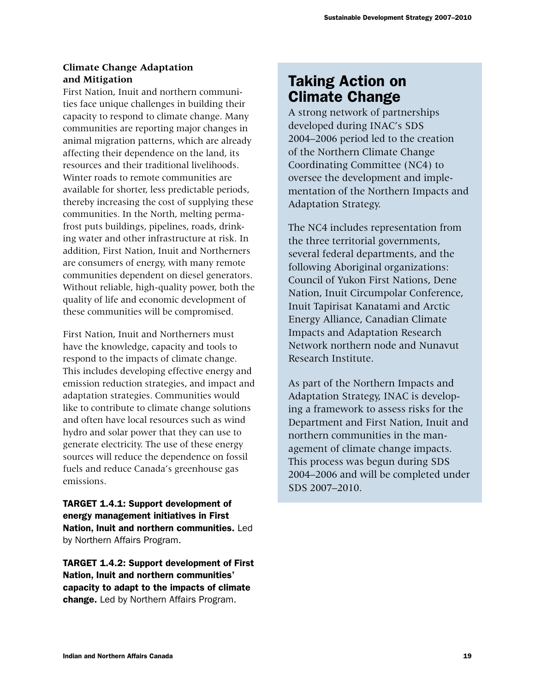## **Climate Change Adaptation and Mitigation**

First Nation, Inuit and northern communities face unique challenges in building their capacity to respond to climate change. Many communities are reporting major changes in animal migration patterns, which are already affecting their dependence on the land, its resources and their traditional livelihoods. Winter roads to remote communities are available for shorter, less predictable periods, thereby increasing the cost of supplying these communities. In the North, melting permafrost puts buildings, pipelines, roads, drinking water and other infrastructure at risk. In addition, First Nation, Inuit and Northerners are consumers of energy, with many remote communities dependent on diesel generators. Without reliable, high-quality power, both the quality of life and economic development of these communities will be compromised.

First Nation, Inuit and Northerners must have the knowledge, capacity and tools to respond to the impacts of climate change. This includes developing effective energy and emission reduction strategies, and impact and adaptation strategies. Communities would like to contribute to climate change solutions and often have local resources such as wind hydro and solar power that they can use to generate electricity. The use of these energy sources will reduce the dependence on fossil fuels and reduce Canada's greenhouse gas emissions.

TARGET 1.4.1: Support development of energy management initiatives in First Nation, Inuit and northern communities. Led by Northern Affairs Program.

TARGET 1.4.2: Support development of First Nation, Inuit and northern communities' capacity to adapt to the impacts of climate change. Led by Northern Affairs Program.

## Taking Action on Climate Change

A strong network of partnerships developed during INAC's SDS 2004–2006 period led to the creation of the Northern Climate Change Coordinating Committee (NC4) to oversee the development and implementation of the Northern Impacts and Adaptation Strategy.

The NC4 includes representation from the three territorial governments, several federal departments, and the following Aboriginal organizations: Council of Yukon First Nations, Dene Nation, Inuit Circumpolar Conference, Inuit Tapirisat Kanatami and Arctic Energy Alliance, Canadian Climate Impacts and Adaptation Research Network northern node and Nunavut Research Institute.

As part of the Northern Impacts and Adaptation Strategy, INAC is developing a framework to assess risks for the Department and First Nation, Inuit and northern communities in the management of climate change impacts. This process was begun during SDS 2004–2006 and will be completed under SDS 2007–2010.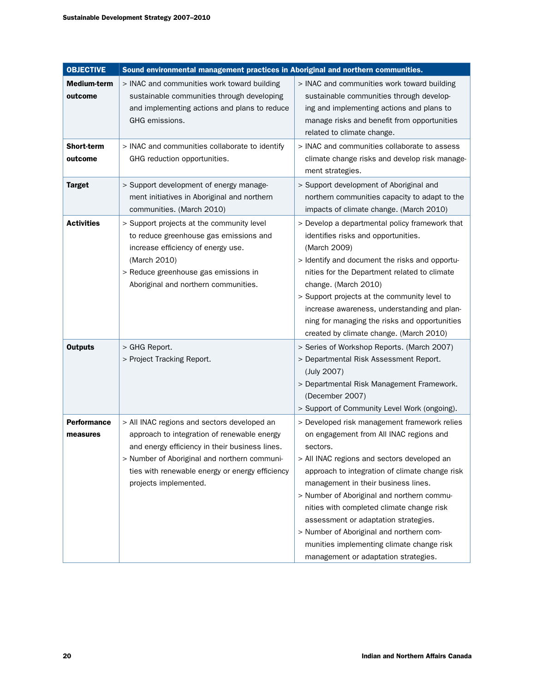| <b>OBJECTIVE</b>               | Sound environmental management practices in Aboriginal and northern communities.                                                                                                                                                                                         |                                                                                                                                                                                                                                                                                                                                                                                                                                                                                                                 |
|--------------------------------|--------------------------------------------------------------------------------------------------------------------------------------------------------------------------------------------------------------------------------------------------------------------------|-----------------------------------------------------------------------------------------------------------------------------------------------------------------------------------------------------------------------------------------------------------------------------------------------------------------------------------------------------------------------------------------------------------------------------------------------------------------------------------------------------------------|
| Medium-term<br>outcome         | > INAC and communities work toward building<br>sustainable communities through developing<br>and implementing actions and plans to reduce<br>GHG emissions.                                                                                                              | > INAC and communities work toward building<br>sustainable communities through develop-<br>ing and implementing actions and plans to<br>manage risks and benefit from opportunities<br>related to climate change.                                                                                                                                                                                                                                                                                               |
| <b>Short-term</b><br>outcome   | > INAC and communities collaborate to identify<br>GHG reduction opportunities.                                                                                                                                                                                           | > INAC and communities collaborate to assess<br>climate change risks and develop risk manage-<br>ment strategies.                                                                                                                                                                                                                                                                                                                                                                                               |
| <b>Target</b>                  | > Support development of energy manage-<br>ment initiatives in Aboriginal and northern<br>communities. (March 2010)                                                                                                                                                      | > Support development of Aboriginal and<br>northern communities capacity to adapt to the<br>impacts of climate change. (March 2010)                                                                                                                                                                                                                                                                                                                                                                             |
| <b>Activities</b>              | > Support projects at the community level<br>to reduce greenhouse gas emissions and<br>increase efficiency of energy use.<br>(March 2010)<br>> Reduce greenhouse gas emissions in<br>Aboriginal and northern communities.                                                | > Develop a departmental policy framework that<br>identifies risks and opportunities.<br>(March 2009)<br>> Identify and document the risks and opportu-<br>nities for the Department related to climate<br>change. (March 2010)<br>> Support projects at the community level to<br>increase awareness, understanding and plan-<br>ning for managing the risks and opportunities<br>created by climate change. (March 2010)                                                                                      |
| <b>Outputs</b>                 | > GHG Report.<br>> Project Tracking Report.                                                                                                                                                                                                                              | > Series of Workshop Reports. (March 2007)<br>> Departmental Risk Assessment Report.<br>(July 2007)<br>> Departmental Risk Management Framework.<br>(December 2007)<br>> Support of Community Level Work (ongoing).                                                                                                                                                                                                                                                                                             |
| <b>Performance</b><br>measures | > All INAC regions and sectors developed an<br>approach to integration of renewable energy<br>and energy efficiency in their business lines.<br>> Number of Aboriginal and northern communi-<br>ties with renewable energy or energy efficiency<br>projects implemented. | > Developed risk management framework relies<br>on engagement from All INAC regions and<br>sectors.<br>> All INAC regions and sectors developed an<br>approach to integration of climate change risk<br>management in their business lines.<br>> Number of Aboriginal and northern commu-<br>nities with completed climate change risk<br>assessment or adaptation strategies.<br>> Number of Aboriginal and northern com-<br>munities implementing climate change risk<br>management or adaptation strategies. |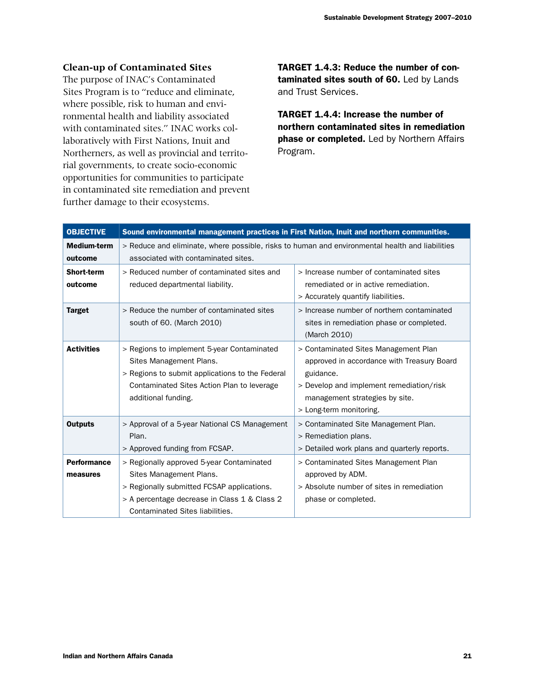## **Clean-up of Contaminated Sites**

The purpose of INAC's Contaminated Sites Program is to "reduce and eliminate, where possible, risk to human and environmental health and liability associated with contaminated sites." INAC works collaboratively with First Nations, Inuit and Northerners, as well as provincial and territorial governments, to create socio-economic opportunities for communities to participate in contaminated site remediation and prevent further damage to their ecosystems.

TARGET 1.4.3: Reduce the number of contaminated sites south of 60. Led by Lands and Trust Services.

TARGET 1.4.4: Increase the number of northern contaminated sites in remediation phase or completed. Led by Northern Affairs Program.

| <b>OBJECTIVE</b>               | Sound environmental management practices in First Nation, Inuit and northern communities.                                                                                                              |                                                                                                                                                                                                          |  |  |  |  |
|--------------------------------|--------------------------------------------------------------------------------------------------------------------------------------------------------------------------------------------------------|----------------------------------------------------------------------------------------------------------------------------------------------------------------------------------------------------------|--|--|--|--|
| <b>Medium-term</b><br>outcome  | > Reduce and eliminate, where possible, risks to human and environmental health and liabilities<br>associated with contaminated sites.                                                                 |                                                                                                                                                                                                          |  |  |  |  |
| <b>Short-term</b><br>outcome   | > Reduced number of contaminated sites and<br>> Increase number of contaminated sites<br>reduced departmental liability.<br>remediated or in active remediation.<br>> Accurately quantify liabilities. |                                                                                                                                                                                                          |  |  |  |  |
| <b>Target</b>                  | > Reduce the number of contaminated sites<br>south of 60. (March 2010)                                                                                                                                 | > Increase number of northern contaminated<br>sites in remediation phase or completed.<br>(March 2010)                                                                                                   |  |  |  |  |
| <b>Activities</b>              | > Regions to implement 5-year Contaminated<br>Sites Management Plans.<br>> Regions to submit applications to the Federal<br>Contaminated Sites Action Plan to leverage<br>additional funding.          | > Contaminated Sites Management Plan<br>approved in accordance with Treasury Board<br>guidance.<br>> Develop and implement remediation/risk<br>management strategies by site.<br>> Long-term monitoring. |  |  |  |  |
| <b>Outputs</b>                 | > Approval of a 5-year National CS Management<br>Plan.<br>> Approved funding from FCSAP.                                                                                                               | > Contaminated Site Management Plan.<br>> Remediation plans.<br>> Detailed work plans and quarterly reports.                                                                                             |  |  |  |  |
| <b>Performance</b><br>measures | > Regionally approved 5-year Contaminated<br>Sites Management Plans.<br>> Regionally submitted FCSAP applications.<br>> A percentage decrease in Class 1 & Class 2<br>Contaminated Sites liabilities.  | > Contaminated Sites Management Plan<br>approved by ADM.<br>> Absolute number of sites in remediation<br>phase or completed.                                                                             |  |  |  |  |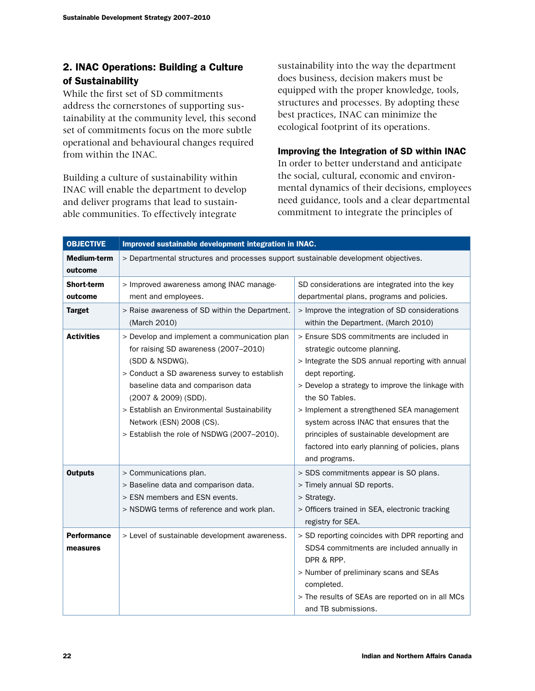## 2. INAC Operations: Building a Culture of Sustainability

While the first set of SD commitments address the cornerstones of supporting sustainability at the community level, this second set of commitments focus on the more subtle operational and behavioural changes required from within the INAC.

Building a culture of sustainability within INAC will enable the department to develop and deliver programs that lead to sustainable communities. To effectively integrate

sustainability into the way the department does business, decision makers must be equipped with the proper knowledge, tools, structures and processes. By adopting these best practices, INAC can minimize the ecological footprint of its operations.

## Improving the Integration of SD within INAC

In order to better understand and anticipate the social, cultural, economic and environmental dynamics of their decisions, employees need guidance, tools and a clear departmental commitment to integrate the principles of

| <b>OBJECTIVE</b>               | Improved sustainable development integration in INAC.                                                                                                                                                                                                                                                                                        |                                                                                                                                                                                                                                                                                                                                                                                                                                |  |  |  |
|--------------------------------|----------------------------------------------------------------------------------------------------------------------------------------------------------------------------------------------------------------------------------------------------------------------------------------------------------------------------------------------|--------------------------------------------------------------------------------------------------------------------------------------------------------------------------------------------------------------------------------------------------------------------------------------------------------------------------------------------------------------------------------------------------------------------------------|--|--|--|
| <b>Medium-term</b>             | > Departmental structures and processes support sustainable development objectives.                                                                                                                                                                                                                                                          |                                                                                                                                                                                                                                                                                                                                                                                                                                |  |  |  |
| outcome                        |                                                                                                                                                                                                                                                                                                                                              |                                                                                                                                                                                                                                                                                                                                                                                                                                |  |  |  |
| Short-term                     | > Improved awareness among INAC manage-<br>SD considerations are integrated into the key                                                                                                                                                                                                                                                     |                                                                                                                                                                                                                                                                                                                                                                                                                                |  |  |  |
| outcome                        | ment and employees.                                                                                                                                                                                                                                                                                                                          | departmental plans, programs and policies.                                                                                                                                                                                                                                                                                                                                                                                     |  |  |  |
| <b>Target</b>                  | > Raise awareness of SD within the Department.                                                                                                                                                                                                                                                                                               | > Improve the integration of SD considerations                                                                                                                                                                                                                                                                                                                                                                                 |  |  |  |
|                                | (March 2010)                                                                                                                                                                                                                                                                                                                                 | within the Department. (March 2010)                                                                                                                                                                                                                                                                                                                                                                                            |  |  |  |
| <b>Activities</b>              | > Develop and implement a communication plan<br>for raising SD awareness (2007-2010)<br>(SDD & NSDWG).<br>> Conduct a SD awareness survey to establish<br>baseline data and comparison data<br>(2007 & 2009) (SDD).<br>> Establish an Environmental Sustainability<br>Network (ESN) 2008 (CS).<br>> Establish the role of NSDWG (2007-2010). | > Ensure SDS commitments are included in<br>strategic outcome planning.<br>> Integrate the SDS annual reporting with annual<br>dept reporting.<br>> Develop a strategy to improve the linkage with<br>the SO Tables.<br>> Implement a strengthened SEA management<br>system across INAC that ensures that the<br>principles of sustainable development are<br>factored into early planning of policies, plans<br>and programs. |  |  |  |
| <b>Outputs</b>                 | > Communications plan.<br>> Baseline data and comparison data.<br>> ESN members and ESN events.<br>> NSDWG terms of reference and work plan.                                                                                                                                                                                                 | > SDS commitments appear is SO plans.<br>> Timely annual SD reports.<br>> Strategy.<br>> Officers trained in SEA, electronic tracking<br>registry for SEA.                                                                                                                                                                                                                                                                     |  |  |  |
| <b>Performance</b><br>measures | > Level of sustainable development awareness.                                                                                                                                                                                                                                                                                                | > SD reporting coincides with DPR reporting and<br>SDS4 commitments are included annually in<br>DPR & RPP.<br>> Number of preliminary scans and SEAs<br>completed.<br>> The results of SEAs are reported on in all MCs<br>and TB submissions.                                                                                                                                                                                  |  |  |  |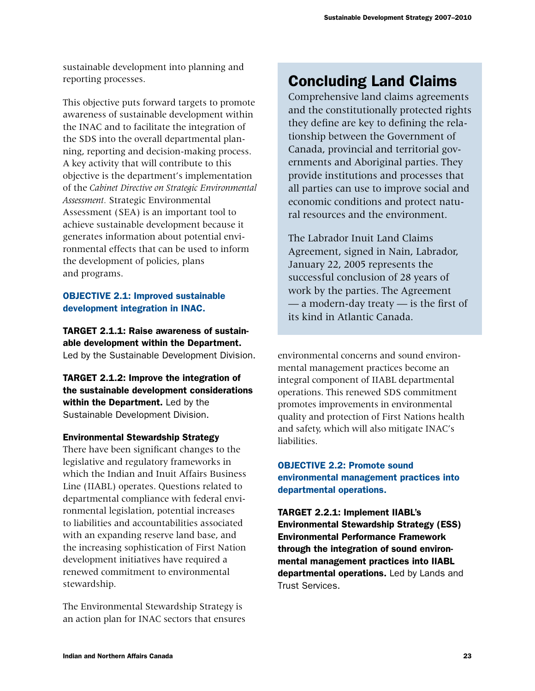sustainable development into planning and reporting processes.

This objective puts forward targets to promote awareness of sustainable development within the INAC and to facilitate the integration of the SDS into the overall departmental planning, reporting and decision-making process. A key activity that will contribute to this objective is the department's implementation of the *Cabinet Directive on Strategic Environmental Assessment.* Strategic Environmental Assessment (SEA) is an important tool to achieve sustainable development because it generates information about potential environmental effects that can be used to inform the development of policies, plans and programs.

## **OBJECTIVE 2.1: Improved sustainable** development integration in INAC.

TARGET 2.1.1: Raise awareness of sustainable development within the Department. Led by the Sustainable Development Division.

TARGET 2.1.2: Improve the integration of the sustainable development considerations within the Department. Led by the Sustainable Development Division.

## Environmental Stewardship Strategy

There have been significant changes to the legislative and regulatory frameworks in which the Indian and Inuit Affairs Business Line (IIABL) operates. Questions related to departmental compliance with federal environmental legislation, potential increases to liabilities and accountabilities associated with an expanding reserve land base, and the increasing sophistication of First Nation development initiatives have required a renewed commitment to environmental stewardship.

The Environmental Stewardship Strategy is an action plan for INAC sectors that ensures

## Concluding Land Claims

Comprehensive land claims agreements and the constitutionally protected rights they define are key to defining the relationship between the Government of Canada, provincial and territorial governments and Aboriginal parties. They provide institutions and processes that all parties can use to improve social and economic conditions and protect natural resources and the environment.

The Labrador Inuit Land Claims Agreement, signed in Nain, Labrador, January 22, 2005 represents the successful conclusion of 28 years of work by the parties. The Agreement — a modern-day treaty — is the first of its kind in Atlantic Canada.

environmental concerns and sound environmental management practices become an integral component of IIABL departmental operations. This renewed SDS commitment promotes improvements in environmental quality and protection of First Nations health and safety, which will also mitigate INAC's liabilities.

## **OBJECTIVE 2.2: Promote sound** environmental management practices into departmental operations.

TARGET 2.2.1: Implement IIABL's Environmental Stewardship Strategy (ESS) Environmental Performance Framework through the integration of sound environmental management practices into IIABL departmental operations. Led by Lands and Trust Services.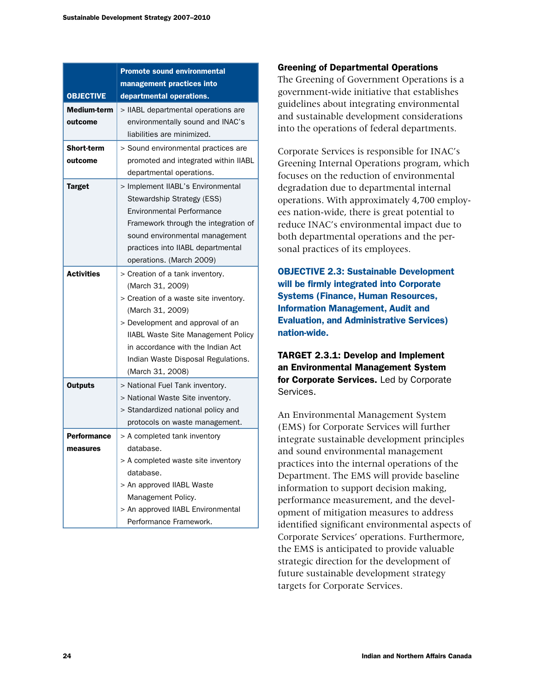|                              | <b>Promote sound environmental</b>                                                                                                                                                                                                                                                               |  |  |  |  |
|------------------------------|--------------------------------------------------------------------------------------------------------------------------------------------------------------------------------------------------------------------------------------------------------------------------------------------------|--|--|--|--|
|                              | management practices into                                                                                                                                                                                                                                                                        |  |  |  |  |
| <b>OBJECTIVE</b>             | departmental operations.                                                                                                                                                                                                                                                                         |  |  |  |  |
| Medium-term<br>outcome       | > IIABL departmental operations are<br>environmentally sound and INAC's<br>liabilities are minimized.                                                                                                                                                                                            |  |  |  |  |
| <b>Short-term</b><br>outcome | > Sound environmental practices are<br>promoted and integrated within IIABL<br>departmental operations.                                                                                                                                                                                          |  |  |  |  |
| <b>Target</b>                | > Implement IIABL's Environmental<br>Stewardship Strategy (ESS)<br><b>Environmental Performance</b><br>Framework through the integration of<br>sound environmental management<br>practices into IIABL departmental<br>operations. (March 2009)                                                   |  |  |  |  |
| <b>Activities</b>            | > Creation of a tank inventory.<br>(March 31, 2009)<br>> Creation of a waste site inventory.<br>(March 31, 2009)<br>> Development and approval of an<br><b>IIABL Waste Site Management Policy</b><br>in accordance with the Indian Act<br>Indian Waste Disposal Regulations.<br>(March 31, 2008) |  |  |  |  |
| <b>Outputs</b>               | > National Fuel Tank inventory.<br>> National Waste Site inventory.<br>> Standardized national policy and<br>protocols on waste management.                                                                                                                                                      |  |  |  |  |
| Performance                  | > A completed tank inventory                                                                                                                                                                                                                                                                     |  |  |  |  |
| measures                     | database.                                                                                                                                                                                                                                                                                        |  |  |  |  |
|                              | > A completed waste site inventory<br>database.<br>> An approved IIABL Waste<br>Management Policy.<br>> An approved IIABL Environmental                                                                                                                                                          |  |  |  |  |
|                              | Performance Framework.                                                                                                                                                                                                                                                                           |  |  |  |  |

#### Greening of Departmental Operations

The Greening of Government Operations is a government-wide initiative that establishes guidelines about integrating environmental and sustainable development considerations into the operations of federal departments.

Corporate Services is responsible for INAC's Greening Internal Operations program, which focuses on the reduction of environmental degradation due to departmental internal operations. With approximately 4,700 employees nation-wide, there is great potential to reduce INAC's environmental impact due to both departmental operations and the personal practices of its employees.

**OBJECTIVE 2.3: Sustainable Development** will be firmly integrated into Corporate Systems (Finance, Human Resources, Information Management, Audit and Evaluation, and Administrative Services) nation-wide.

TARGET 2.3.1: Develop and Implement an Environmental Management System for Corporate Services. Led by Corporate Services.

An Environmental Management System (EMS) for Corporate Services will further integrate sustainable development principles and sound environmental management practices into the internal operations of the Department. The EMS will provide baseline information to support decision making, performance measurement, and the development of mitigation measures to address identified significant environmental aspects of Corporate Services' operations. Furthermore, the EMS is anticipated to provide valuable strategic direction for the development of future sustainable development strategy targets for Corporate Services.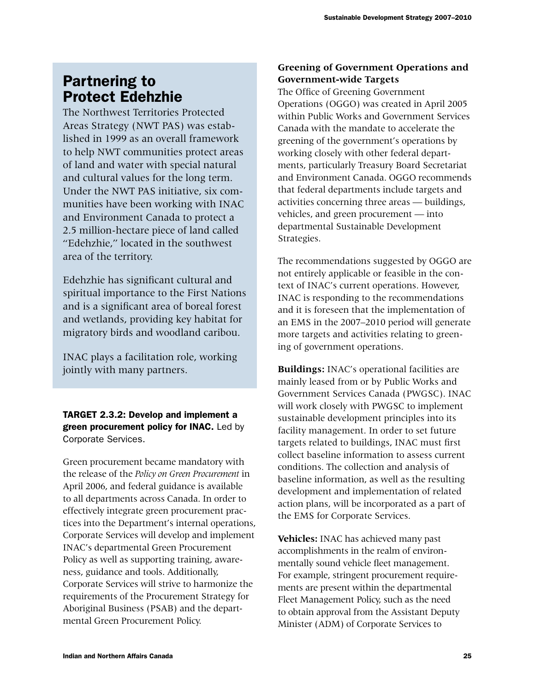## Partnering to Protect Edehzhie

The Northwest Territories Protected Areas Strategy (NWT PAS) was established in 1999 as an overall framework to help NWT communities protect areas of land and water with special natural and cultural values for the long term. Under the NWT PAS initiative, six communities have been working with INAC and Environment Canada to protect a 2.5 million-hectare piece of land called "Edehzhie," located in the southwest area of the territory.

Edehzhie has significant cultural and spiritual importance to the First Nations and is a significant area of boreal forest and wetlands, providing key habitat for migratory birds and woodland caribou.

INAC plays a facilitation role, working jointly with many partners.

TARGET 2.3.2: Develop and implement a green procurement policy for INAC. Led by Corporate Services.

Green procurement became mandatory with the release of the *Policy on Green Procurement* in April 2006, and federal guidance is available to all departments across Canada. In order to effectively integrate green procurement practices into the Department's internal operations, Corporate Services will develop and implement INAC's departmental Green Procurement Policy as well as supporting training, awareness, guidance and tools. Additionally, Corporate Services will strive to harmonize the requirements of the Procurement Strategy for Aboriginal Business (PSAB) and the departmental Green Procurement Policy.

## **Greening of Government Operations and Government-wide Targets**

The Office of Greening Government Operations (OGGO) was created in April 2005 within Public Works and Government Services Canada with the mandate to accelerate the greening of the government's operations by working closely with other federal departments, particularly Treasury Board Secretariat and Environment Canada. OGGO recommends that federal departments include targets and activities concerning three areas — buildings, vehicles, and green procurement — into departmental Sustainable Development Strategies.

The recommendations suggested by OGGO are not entirely applicable or feasible in the context of INAC's current operations. However, INAC is responding to the recommendations and it is foreseen that the implementation of an EMS in the 2007–2010 period will generate more targets and activities relating to greening of government operations.

**Buildings:** INAC's operational facilities are mainly leased from or by Public Works and Government Services Canada (PWGSC). INAC will work closely with PWGSC to implement sustainable development principles into its facility management. In order to set future targets related to buildings, INAC must first collect baseline information to assess current conditions. The collection and analysis of baseline information, as well as the resulting development and implementation of related action plans, will be incorporated as a part of the EMS for Corporate Services.

**Vehicles:** INAC has achieved many past accomplishments in the realm of environmentally sound vehicle fleet management. For example, stringent procurement requirements are present within the departmental Fleet Management Policy, such as the need to obtain approval from the Assistant Deputy Minister (ADM) of Corporate Services to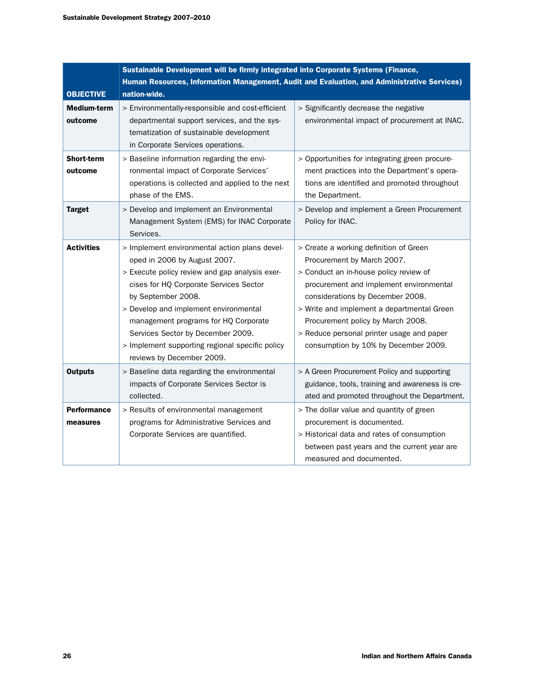| <b>OBJECTIVE</b>               | Sustainable Development will be firmly integrated into Corporate Systems (Finance,<br>Human Resources, Information Management, Audit and Evaluation, and Administrative Services)<br>nation-wide.                                                                                                                                                                                                     |                                                                                                                                                                                                                                                                                                                                                                       |  |  |  |
|--------------------------------|-------------------------------------------------------------------------------------------------------------------------------------------------------------------------------------------------------------------------------------------------------------------------------------------------------------------------------------------------------------------------------------------------------|-----------------------------------------------------------------------------------------------------------------------------------------------------------------------------------------------------------------------------------------------------------------------------------------------------------------------------------------------------------------------|--|--|--|
| <b>Medium-term</b><br>outcome  | > Environmentally-responsible and cost-efficient<br>departmental support services, and the sys-<br>tematization of sustainable development<br>in Corporate Services operations.                                                                                                                                                                                                                       | > Significantly decrease the negative<br>environmental impact of procurement at INAC.                                                                                                                                                                                                                                                                                 |  |  |  |
| <b>Short-term</b><br>outcome   | > Baseline information regarding the envi-<br>ronmental impact of Corporate Services'<br>operations is collected and applied to the next<br>phase of the EMS.                                                                                                                                                                                                                                         | > Opportunities for integrating green procure-<br>ment practices into the Department's opera-<br>tions are identified and promoted throughout<br>the Department.                                                                                                                                                                                                      |  |  |  |
| <b>Target</b>                  | > Develop and implement an Environmental<br>Management System (EMS) for INAC Corporate<br>Services.                                                                                                                                                                                                                                                                                                   | > Develop and implement a Green Procurement<br>Policy for INAC.                                                                                                                                                                                                                                                                                                       |  |  |  |
| <b>Activities</b>              | > Implement environmental action plans devel-<br>oped in 2006 by August 2007.<br>> Execute policy review and gap analysis exer-<br>cises for HQ Corporate Services Sector<br>by September 2008.<br>> Develop and implement environmental<br>management programs for HQ Corporate<br>Services Sector by December 2009.<br>> Implement supporting regional specific policy<br>reviews by December 2009. | > Create a working definition of Green<br>Procurement by March 2007.<br>> Conduct an in-house policy review of<br>procurement and implement environmental<br>considerations by December 2008.<br>> Write and implement a departmental Green<br>Procurement policy by March 2008.<br>> Reduce personal printer usage and paper<br>consumption by 10% by December 2009. |  |  |  |
| <b>Outputs</b>                 | > Baseline data regarding the environmental<br>impacts of Corporate Services Sector is<br>collected.                                                                                                                                                                                                                                                                                                  | > A Green Procurement Policy and supporting<br>guidance, tools, training and awareness is cre-<br>ated and promoted throughout the Department.                                                                                                                                                                                                                        |  |  |  |
| <b>Performance</b><br>measures | > Results of environmental management<br>programs for Administrative Services and<br>Corporate Services are quantified.                                                                                                                                                                                                                                                                               | > The dollar value and quantity of green<br>procurement is documented.<br>> Historical data and rates of consumption<br>between past years and the current year are<br>measured and documented.                                                                                                                                                                       |  |  |  |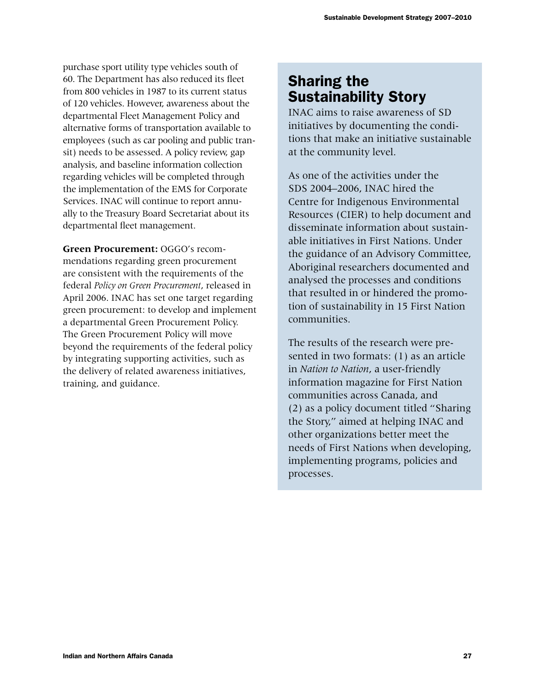purchase sport utility type vehicles south of 60. The Department has also reduced its fleet from 800 vehicles in 1987 to its current status of 120 vehicles. However, awareness about the departmental Fleet Management Policy and alternative forms of transportation available to employees (such as car pooling and public transit) needs to be assessed. A policy review, gap analysis, and baseline information collection regarding vehicles will be completed through the implementation of the EMS for Corporate Services. INAC will continue to report annually to the Treasury Board Secretariat about its departmental fleet management.

**Green Procurement:** OGGO's recommendations regarding green procurement are consistent with the requirements of the federal *Policy on Green Procurement*, released in April 2006. INAC has set one target regarding green procurement: to develop and implement a departmental Green Procurement Policy. The Green Procurement Policy will move beyond the requirements of the federal policy by integrating supporting activities, such as the delivery of related awareness initiatives, training, and guidance.

## Sharing the Sustainability Story

INAC aims to raise awareness of SD initiatives by documenting the conditions that make an initiative sustainable at the community level.

As one of the activities under the SDS 2004–2006, INAC hired the Centre for Indigenous Environmental Resources (CIER) to help document and disseminate information about sustainable initiatives in First Nations. Under the guidance of an Advisory Committee, Aboriginal researchers documented and analysed the processes and conditions that resulted in or hindered the promotion of sustainability in 15 First Nation communities.

The results of the research were presented in two formats: (1) as an article in *Nation to Nation*, a user-friendly information magazine for First Nation communities across Canada, and (2) as a policy document titled "Sharing the Story," aimed at helping INAC and other organizations better meet the needs of First Nations when developing, implementing programs, policies and processes.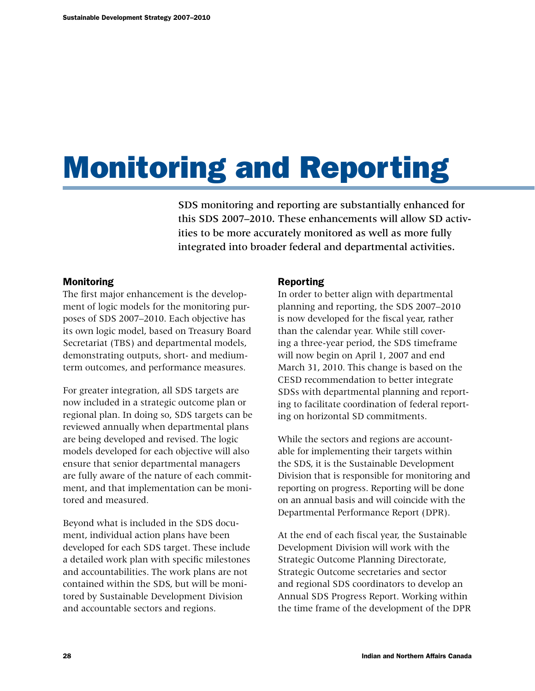# Monitoring and Reporting

SDS monitoring and reporting are substantially enhanced for this SDS 2007–2010. These enhancements will allow SD activities to be more accurately monitored as well as more fully integrated into broader federal and departmental activities.

## Monitoring

The first major enhancement is the development of logic models for the monitoring purposes of SDS 2007–2010. Each objective has its own logic model, based on Treasury Board Secretariat (TBS) and departmental models, demonstrating outputs, short- and mediumterm outcomes, and performance measures.

For greater integration, all SDS targets are now included in a strategic outcome plan or regional plan. In doing so, SDS targets can be reviewed annually when departmental plans are being developed and revised. The logic models developed for each objective will also ensure that senior departmental managers are fully aware of the nature of each commitment, and that implementation can be monitored and measured.

Beyond what is included in the SDS document, individual action plans have been developed for each SDS target. These include a detailed work plan with specific milestones and accountabilities. The work plans are not contained within the SDS, but will be monitored by Sustainable Development Division and accountable sectors and regions.

#### Reporting

In order to better align with departmental planning and reporting, the SDS 2007–2010 is now developed for the fiscal year, rather than the calendar year. While still covering a three-year period, the SDS timeframe will now begin on April 1, 2007 and end March 31, 2010. This change is based on the CESD recommendation to better integrate SDSs with departmental planning and reporting to facilitate coordination of federal reporting on horizontal SD commitments.

While the sectors and regions are accountable for implementing their targets within the SDS, it is the Sustainable Development Division that is responsible for monitoring and reporting on progress. Reporting will be done on an annual basis and will coincide with the Departmental Performance Report (DPR).

At the end of each fiscal year, the Sustainable Development Division will work with the Strategic Outcome Planning Directorate, Strategic Outcome secretaries and sector and regional SDS coordinators to develop an Annual SDS Progress Report. Working within the time frame of the development of the DPR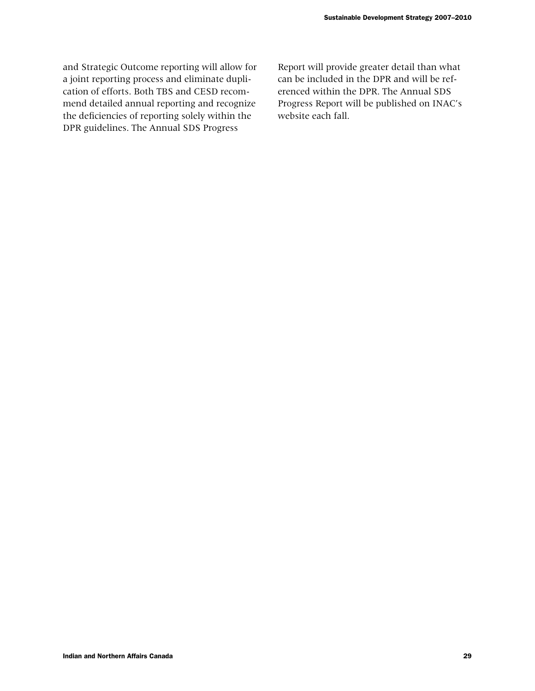and Strategic Outcome reporting will allow for a joint reporting process and eliminate duplication of efforts. Both TBS and CESD recommend detailed annual reporting and recognize the deficiencies of reporting solely within the DPR guidelines. The Annual SDS Progress

Report will provide greater detail than what can be included in the DPR and will be referenced within the DPR. The Annual SDS Progress Report will be published on INAC's website each fall.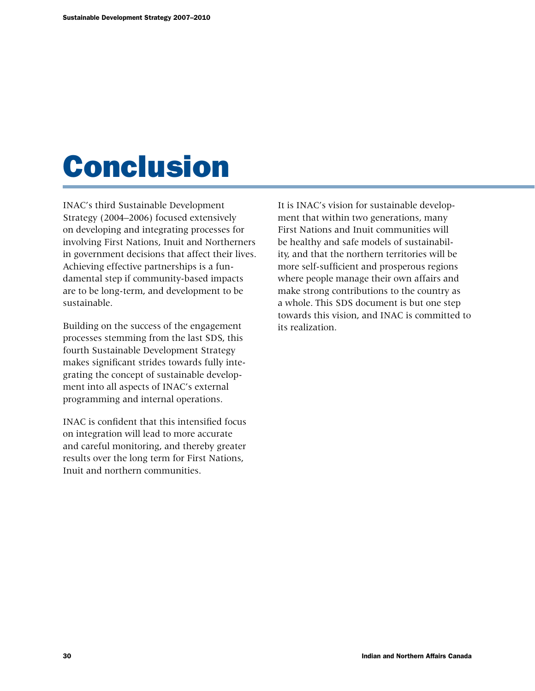# Conclusion

INAC's third Sustainable Development Strategy (2004–2006) focused extensively on developing and integrating processes for involving First Nations, Inuit and Northerners in government decisions that affect their lives. Achieving effective partnerships is a fundamental step if community-based impacts are to be long-term, and development to be sustainable.

Building on the success of the engagement processes stemming from the last SDS, this fourth Sustainable Development Strategy makes significant strides towards fully integrating the concept of sustainable development into all aspects of INAC's external programming and internal operations.

INAC is confident that this intensified focus on integration will lead to more accurate and careful monitoring, and thereby greater results over the long term for First Nations, Inuit and northern communities.

It is INAC's vision for sustainable development that within two generations, many First Nations and Inuit communities will be healthy and safe models of sustainability, and that the northern territories will be more self-sufficient and prosperous regions where people manage their own affairs and make strong contributions to the country as a whole. This SDS document is but one step towards this vision, and INAC is committed to its realization.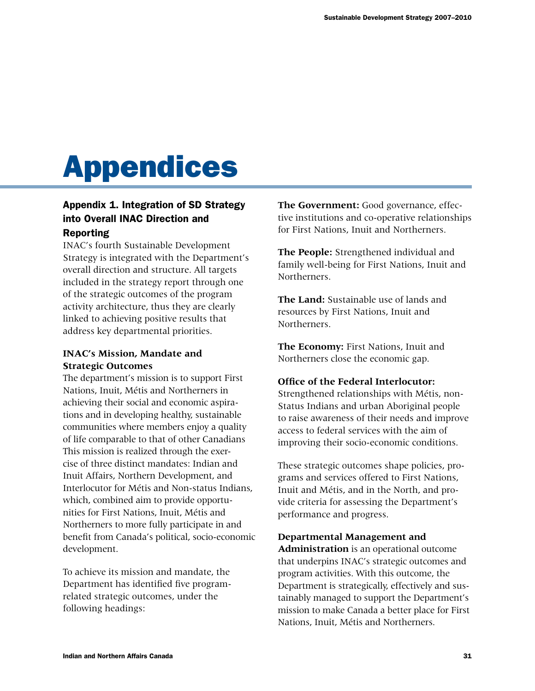# Appendices

## Appendix 1. Integration of SD Strategy into Overall INAC Direction and Reporting

INAC's fourth Sustainable Development Strategy is integrated with the Department's overall direction and structure. All targets included in the strategy report through one of the strategic outcomes of the program activity architecture, thus they are clearly linked to achieving positive results that address key departmental priorities.

## **INAC's Mission, Mandate and Strategic Outcomes**

The department's mission is to support First Nations, Inuit, Métis and Northerners in achieving their social and economic aspirations and in developing healthy, sustainable communities where members enjoy a quality of life comparable to that of other Canadians This mission is realized through the exercise of three distinct mandates: Indian and Inuit Affairs, Northern Development, and Interlocutor for Métis and Non-status Indians, which, combined aim to provide opportunities for First Nations, Inuit, Métis and Northerners to more fully participate in and benefit from Canada's political, socio-economic development.

To achieve its mission and mandate, the Department has identified five programrelated strategic outcomes, under the following headings:

**The Government:** Good governance, effective institutions and co-operative relationships for First Nations, Inuit and Northerners.

**The People:** Strengthened individual and family well-being for First Nations, Inuit and Northerners.

**The Land:** Sustainable use of lands and resources by First Nations, Inuit and Northerners.

**The Economy:** First Nations, Inuit and Northerners close the economic gap.

### **Office of the Federal Interlocutor:**

Strengthened relationships with Métis, non-Status Indians and urban Aboriginal people to raise awareness of their needs and improve access to federal services with the aim of improving their socio-economic conditions.

These strategic outcomes shape policies, programs and services offered to First Nations, Inuit and Métis, and in the North, and provide criteria for assessing the Department's performance and progress.

## **Departmental Management and**

**Administration** is an operational outcome that underpins INAC's strategic outcomes and program activities. With this outcome, the Department is strategically, effectively and sustainably managed to support the Department's mission to make Canada a better place for First Nations, Inuit, Métis and Northerners.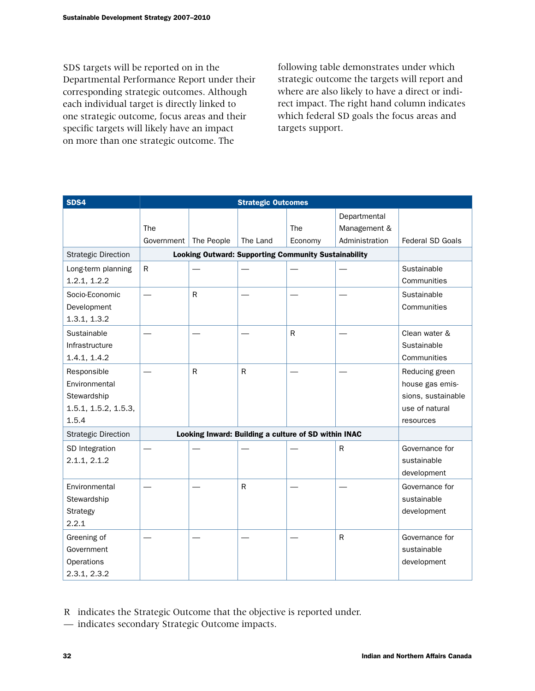SDS targets will be reported on in the Departmental Performance Report under their corresponding strategic outcomes. Although each individual target is directly linked to one strategic outcome, focus areas and their specific targets will likely have an impact on more than one strategic outcome. The

following table demonstrates under which strategic outcome the targets will report and where are also likely to have a direct or indirect impact. The right hand column indicates which federal SD goals the focus areas and targets support.

| SDS4                       | <b>Strategic Outcomes</b> |            |                                                             |         |                |                         |
|----------------------------|---------------------------|------------|-------------------------------------------------------------|---------|----------------|-------------------------|
|                            |                           |            |                                                             |         | Departmental   |                         |
|                            | The                       |            |                                                             | The     | Management &   |                         |
|                            | Government                | The People | The Land                                                    | Economy | Administration | <b>Federal SD Goals</b> |
| <b>Strategic Direction</b> |                           |            | <b>Looking Outward: Supporting Community Sustainability</b> |         |                |                         |
| Long-term planning         | $\mathsf{R}$              |            |                                                             |         |                | Sustainable             |
| 1.2.1, 1.2.2               |                           |            |                                                             |         |                | Communities             |
| Socio-Economic             |                           | R          |                                                             |         |                | Sustainable             |
| Development                |                           |            |                                                             |         |                | Communities             |
| 1.3.1, 1.3.2               |                           |            |                                                             |         |                |                         |
| Sustainable                |                           |            |                                                             | R       |                | Clean water &           |
| Infrastructure             |                           |            |                                                             |         |                | Sustainable             |
| 1.4.1, 1.4.2               |                           |            |                                                             |         |                | Communities             |
| Responsible                |                           | R          | ${\sf R}$                                                   |         |                | Reducing green          |
| Environmental              |                           |            |                                                             |         |                | house gas emis-         |
| Stewardship                |                           |            |                                                             |         |                | sions, sustainable      |
| 1.5.1, 1.5.2, 1.5.3,       |                           |            |                                                             |         |                | use of natural          |
| 1.5.4                      |                           |            |                                                             |         |                | resources               |
| <b>Strategic Direction</b> |                           |            | Looking Inward: Building a culture of SD within INAC        |         |                |                         |
| SD Integration             |                           |            |                                                             |         | $\mathsf{R}$   | Governance for          |
| 2.1.1, 2.1.2               |                           |            |                                                             |         |                | sustainable             |
|                            |                           |            |                                                             |         |                | development             |
| Environmental              |                           |            | R                                                           |         |                | Governance for          |
| Stewardship                |                           |            |                                                             |         |                | sustainable             |
| Strategy                   |                           |            |                                                             |         |                | development             |
| 2.2.1                      |                           |            |                                                             |         |                |                         |
| Greening of                |                           |            |                                                             |         | $\mathsf R$    | Governance for          |
| Government                 |                           |            |                                                             |         |                | sustainable             |
| Operations                 |                           |            |                                                             |         |                | development             |
| 2.3.1, 2.3.2               |                           |            |                                                             |         |                |                         |

R indicates the Strategic Outcome that the objective is reported under.

— indicates secondary Strategic Outcome impacts.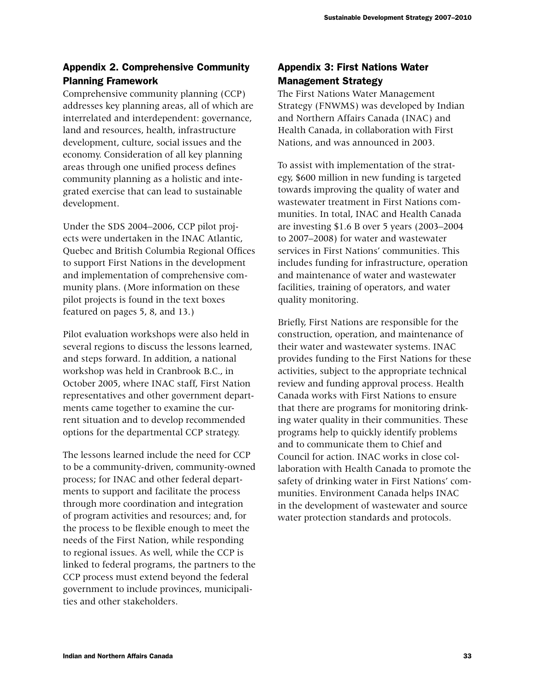## Appendix 2. Comprehensive Community Planning Framework

Comprehensive community planning (CCP) addresses key planning areas, all of which are interrelated and interdependent: governance, land and resources, health, infrastructure development, culture, social issues and the economy. Consideration of all key planning areas through one unified process defines community planning as a holistic and integrated exercise that can lead to sustainable development.

Under the SDS 2004–2006, CCP pilot projects were undertaken in the INAC Atlantic, Quebec and British Columbia Regional Offices to support First Nations in the development and implementation of comprehensive community plans. (More information on these pilot projects is found in the text boxes featured on pages 5, 8, and 13.)

Pilot evaluation workshops were also held in several regions to discuss the lessons learned, and steps forward. In addition, a national workshop was held in Cranbrook B.C., in October 2005, where INAC staff, First Nation representatives and other government departments came together to examine the current situation and to develop recommended options for the departmental CCP strategy.

The lessons learned include the need for CCP to be a community-driven, community-owned process; for INAC and other federal departments to support and facilitate the process through more coordination and integration of program activities and resources; and, for the process to be flexible enough to meet the needs of the First Nation, while responding to regional issues. As well, while the CCP is linked to federal programs, the partners to the CCP process must extend beyond the federal government to include provinces, municipalities and other stakeholders.

## Appendix 3: First Nations Water Management Strategy

The First Nations Water Management Strategy (FNWMS) was developed by Indian and Northern Affairs Canada (INAC) and Health Canada, in collaboration with First Nations, and was announced in 2003.

To assist with implementation of the strategy, \$600 million in new funding is targeted towards improving the quality of water and wastewater treatment in First Nations communities. In total, INAC and Health Canada are investing \$1.6 B over 5 years (2003–2004 to 2007–2008) for water and wastewater services in First Nations' communities. This includes funding for infrastructure, operation and maintenance of water and wastewater facilities, training of operators, and water quality monitoring.

Briefly, First Nations are responsible for the construction, operation, and maintenance of their water and wastewater systems. INAC provides funding to the First Nations for these activities, subject to the appropriate technical review and funding approval process. Health Canada works with First Nations to ensure that there are programs for monitoring drinking water quality in their communities. These programs help to quickly identify problems and to communicate them to Chief and Council for action. INAC works in close collaboration with Health Canada to promote the safety of drinking water in First Nations' communities. Environment Canada helps INAC in the development of wastewater and source water protection standards and protocols.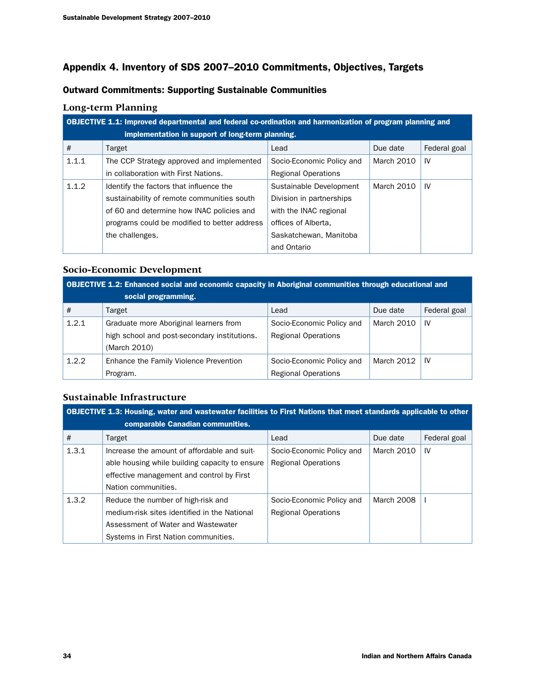## Appendix 4. Inventory of SDS 2007–2010 Commitments, Objectives, Targets

## Outward Commitments: Supporting Sustainable Communities

## **Long-term Planning**

|       | <b>OBJECTIVE 1.1: Improved departmental and federal co-ordination and harmonization of program planning and</b><br>implementation in support of long-term planning. |                            |            |              |  |  |
|-------|---------------------------------------------------------------------------------------------------------------------------------------------------------------------|----------------------------|------------|--------------|--|--|
|       |                                                                                                                                                                     |                            |            |              |  |  |
| #     | Target                                                                                                                                                              | Lead                       | Due date   | Federal goal |  |  |
| 1.1.1 | The CCP Strategy approved and implemented                                                                                                                           | Socio-Economic Policy and  | March 2010 | IV           |  |  |
|       | in collaboration with First Nations.                                                                                                                                | <b>Regional Operations</b> |            |              |  |  |
| 1.1.2 | Identify the factors that influence the                                                                                                                             | Sustainable Development    | March 2010 | IV           |  |  |
|       | sustainability of remote communities south                                                                                                                          | Division in partnerships   |            |              |  |  |
|       | of 60 and determine how INAC policies and                                                                                                                           | with the INAC regional     |            |              |  |  |
|       | programs could be modified to better address                                                                                                                        | offices of Alberta.        |            |              |  |  |
|       | the challenges.                                                                                                                                                     | Saskatchewan, Manitoba     |            |              |  |  |
|       |                                                                                                                                                                     | and Ontario                |            |              |  |  |

## **Socio-Economic Development**

| OBJECTIVE 1.2: Enhanced social and economic capacity in Aboriginal communities through educational and |                                              |                            |            |              |
|--------------------------------------------------------------------------------------------------------|----------------------------------------------|----------------------------|------------|--------------|
|                                                                                                        | social programming.                          |                            |            |              |
| #                                                                                                      | Target                                       | Lead                       | Due date   | Federal goal |
| 1.2.1                                                                                                  | Graduate more Aboriginal learners from       | Socio-Economic Policy and  | March 2010 | IV           |
|                                                                                                        | high school and post-secondary institutions. | <b>Regional Operations</b> |            |              |
|                                                                                                        | (March 2010)                                 |                            |            |              |
| 1.2.2                                                                                                  | Enhance the Family Violence Prevention       | Socio-Economic Policy and  | March 2012 | 1V           |
|                                                                                                        | Program.                                     | <b>Regional Operations</b> |            |              |

## **Sustainable Infrastructure**

| <b>OBJECTIVE 1.3: Housing, water and wastewater facilities to First Nations that meet standards applicable to other</b> |                                                |                            |            |              |
|-------------------------------------------------------------------------------------------------------------------------|------------------------------------------------|----------------------------|------------|--------------|
|                                                                                                                         | comparable Canadian communities.               |                            |            |              |
| #                                                                                                                       | Target                                         | Lead                       | Due date   | Federal goal |
| 1.3.1                                                                                                                   | Increase the amount of affordable and suit-    | Socio-Economic Policy and  | March 2010 | IV           |
|                                                                                                                         | able housing while building capacity to ensure | <b>Regional Operations</b> |            |              |
|                                                                                                                         | effective management and control by First      |                            |            |              |
|                                                                                                                         | Nation communities.                            |                            |            |              |
| 1.3.2                                                                                                                   | Reduce the number of high-risk and             | Socio-Economic Policy and  | March 2008 |              |
|                                                                                                                         | medium-risk sites identified in the National   | <b>Regional Operations</b> |            |              |
|                                                                                                                         | Assessment of Water and Wastewater             |                            |            |              |
|                                                                                                                         | Systems in First Nation communities.           |                            |            |              |